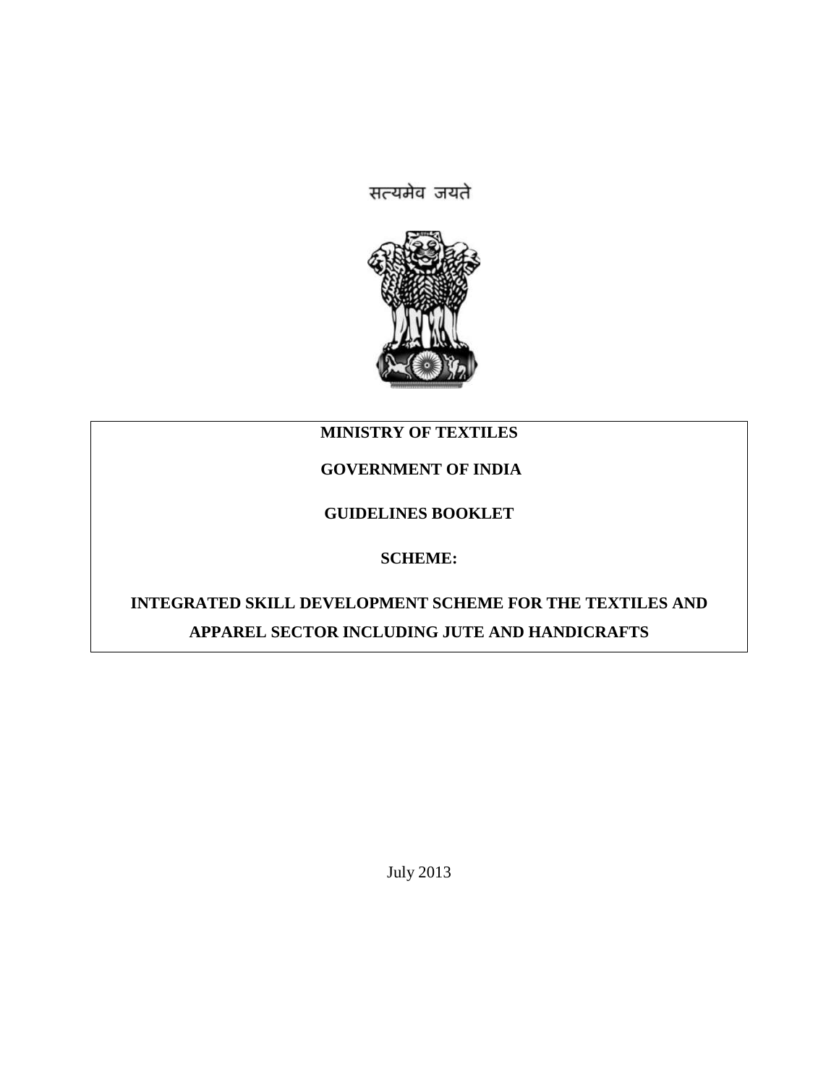



# **MINISTRY OF TEXTILES**

# **GOVERNMENT OF INDIA**

## **GUIDELINES BOOKLET**

## **SCHEME:**

# **INTEGRATED SKILL DEVELOPMENT SCHEME FOR THE TEXTILES AND APPAREL SECTOR INCLUDING JUTE AND HANDICRAFTS**

July 2013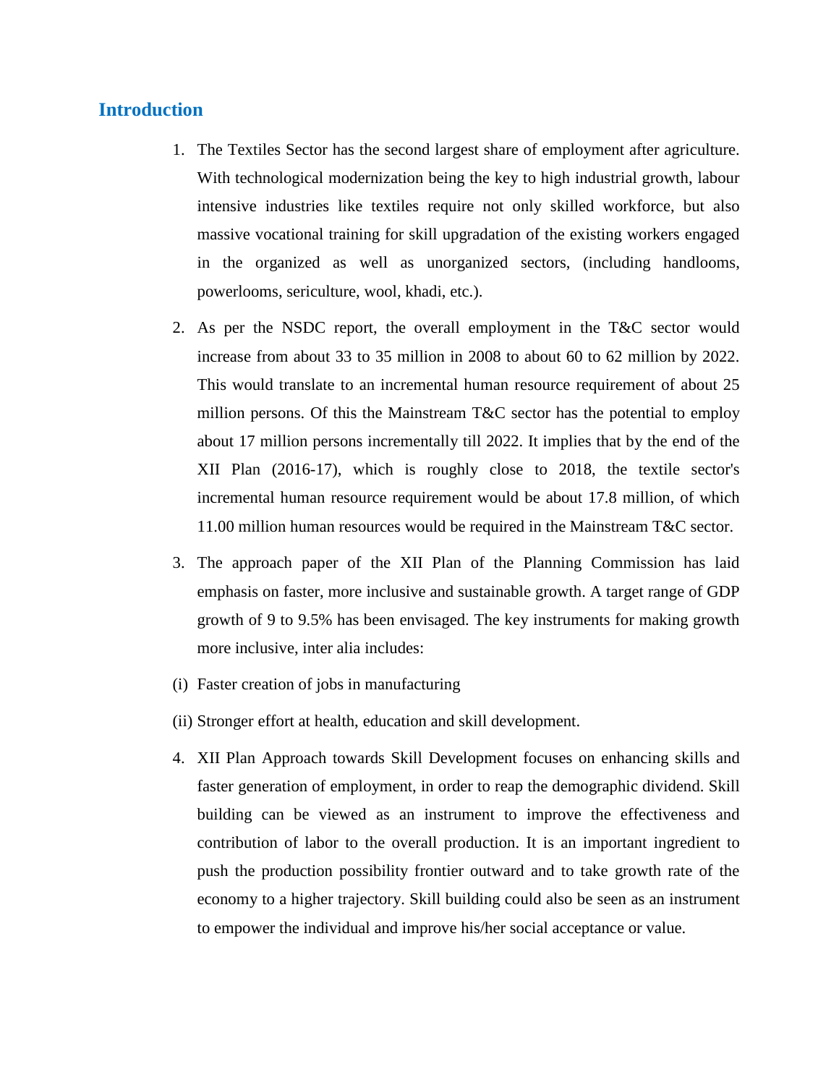## **Introduction**

- 1. The Textiles Sector has the second largest share of employment after agriculture. With technological modernization being the key to high industrial growth, labour intensive industries like textiles require not only skilled workforce, but also massive vocational training for skill upgradation of the existing workers engaged in the organized as well as unorganized sectors, (including handlooms, powerlooms, sericulture, wool, khadi, etc.).
- 2. As per the NSDC report, the overall employment in the T&C sector would increase from about 33 to 35 million in 2008 to about 60 to 62 million by 2022. This would translate to an incremental human resource requirement of about 25 million persons. Of this the Mainstream T&C sector has the potential to employ about 17 million persons incrementally till 2022. It implies that by the end of the XII Plan (2016-17), which is roughly close to 2018, the textile sector's incremental human resource requirement would be about 17.8 million, of which 11.00 million human resources would be required in the Mainstream T&C sector.
- 3. The approach paper of the XII Plan of the Planning Commission has laid emphasis on faster, more inclusive and sustainable growth. A target range of GDP growth of 9 to 9.5% has been envisaged. The key instruments for making growth more inclusive, inter alia includes:
- (i) Faster creation of jobs in manufacturing
- (ii) Stronger effort at health, education and skill development.
- 4. XII Plan Approach towards Skill Development focuses on enhancing skills and faster generation of employment, in order to reap the demographic dividend. Skill building can be viewed as an instrument to improve the effectiveness and contribution of labor to the overall production. It is an important ingredient to push the production possibility frontier outward and to take growth rate of the economy to a higher trajectory. Skill building could also be seen as an instrument to empower the individual and improve his/her social acceptance or value.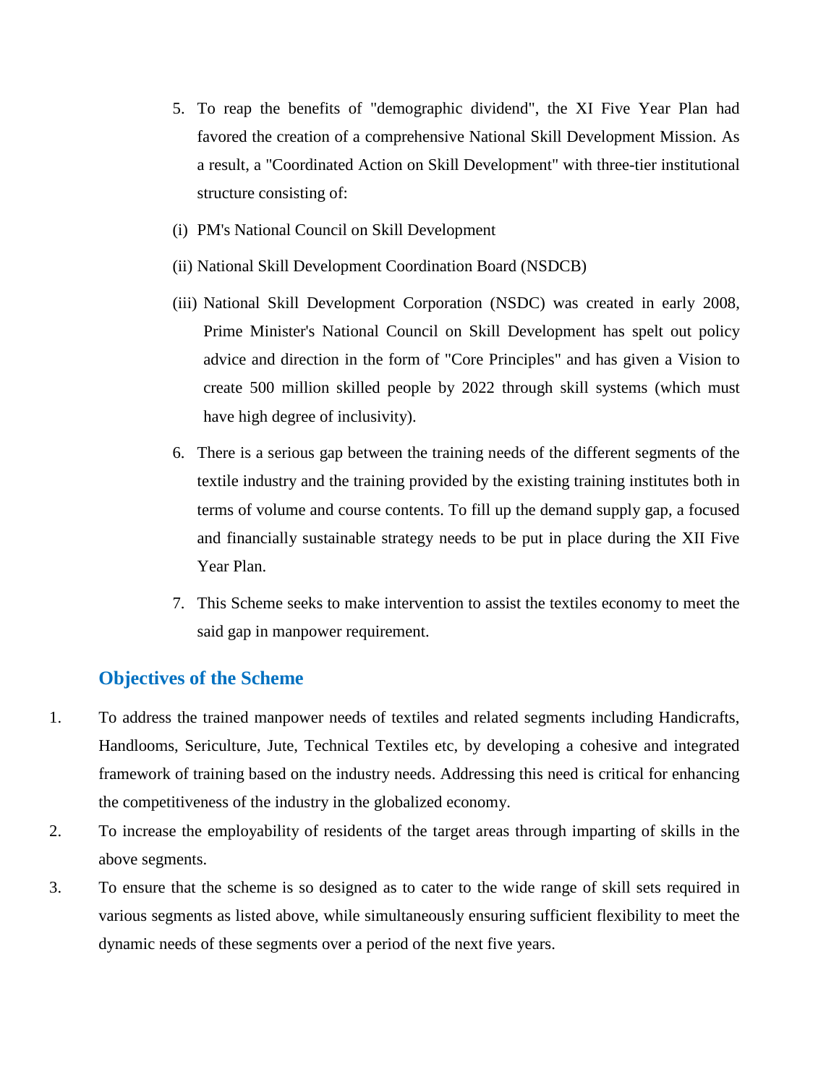- 5. To reap the benefits of "demographic dividend", the XI Five Year Plan had favored the creation of a comprehensive National Skill Development Mission. As a result, a "Coordinated Action on Skill Development" with three-tier institutional structure consisting of:
- (i) PM's National Council on Skill Development
- (ii) National Skill Development Coordination Board (NSDCB)
- (iii) National Skill Development Corporation (NSDC) was created in early 2008, Prime Minister's National Council on Skill Development has spelt out policy advice and direction in the form of "Core Principles" and has given a Vision to create 500 million skilled people by 2022 through skill systems (which must have high degree of inclusivity).
- 6. There is a serious gap between the training needs of the different segments of the textile industry and the training provided by the existing training institutes both in terms of volume and course contents. To fill up the demand supply gap, a focused and financially sustainable strategy needs to be put in place during the XII Five Year Plan.
- 7. This Scheme seeks to make intervention to assist the textiles economy to meet the said gap in manpower requirement.

# **Objectives of the Scheme**

- 1. To address the trained manpower needs of textiles and related segments including Handicrafts, Handlooms, Sericulture, Jute, Technical Textiles etc, by developing a cohesive and integrated framework of training based on the industry needs. Addressing this need is critical for enhancing the competitiveness of the industry in the globalized economy.
- 2. To increase the employability of residents of the target areas through imparting of skills in the above segments.
- 3. To ensure that the scheme is so designed as to cater to the wide range of skill sets required in various segments as listed above, while simultaneously ensuring sufficient flexibility to meet the dynamic needs of these segments over a period of the next five years.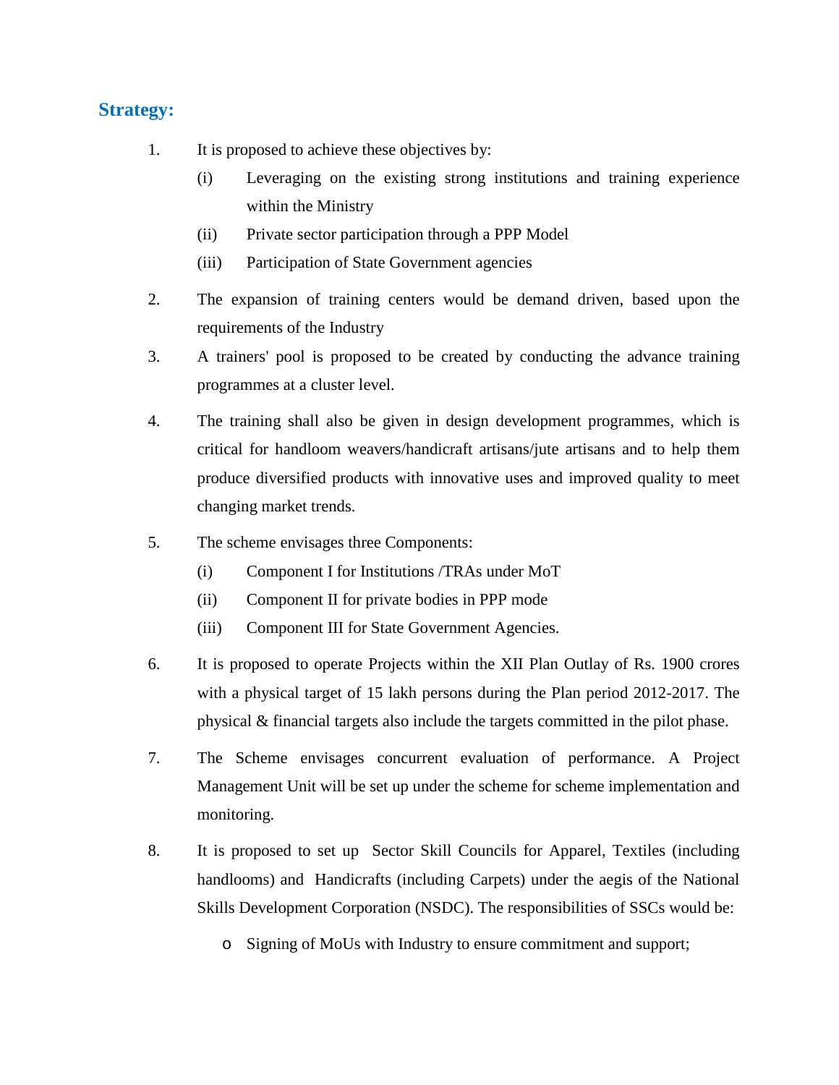## **Strategy:**

- 1. It is proposed to achieve these objectives by:
	- (i) Leveraging on the existing strong institutions and training experience within the Ministry
	- (ii) Private sector participation through a PPP Model
	- (iii) Participation of State Government agencies
- 2. The expansion of training centers would be demand driven, based upon the requirements of the Industry
- 3. A trainers' pool is proposed to be created by conducting the advance training programmes at a cluster level.
- 4. The training shall also be given in design development programmes, which is critical for handloom weavers/handicraft artisans/jute artisans and to help them produce diversified products with innovative uses and improved quality to meet changing market trends.
- 5. The scheme envisages three Components:
	- (i) Component I for Institutions /TRAs under MoT
	- (ii) Component II for private bodies in PPP mode
	- (iii) Component III for State Government Agencies.
- 6. It is proposed to operate Projects within the XII Plan Outlay of Rs. 1900 crores with a physical target of 15 lakh persons during the Plan period 2012-2017. The physical & financial targets also include the targets committed in the pilot phase.
- 7. The Scheme envisages concurrent evaluation of performance. A Project Management Unit will be set up under the scheme for scheme implementation and monitoring.
- 8. It is proposed to set up Sector Skill Councils for Apparel, Textiles (including handlooms) and Handicrafts (including Carpets) under the aegis of the National Skills Development Corporation (NSDC). The responsibilities of SSCs would be:
	- o Signing of MoUs with Industry to ensure commitment and support;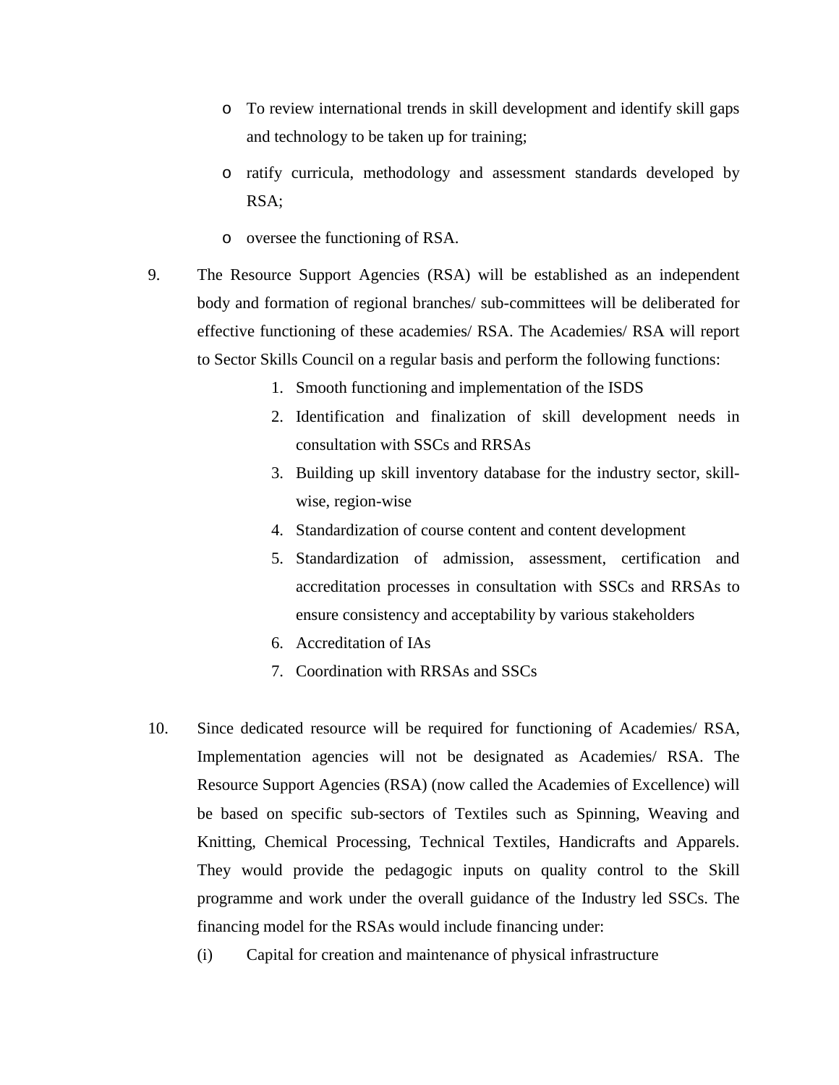- o To review international trends in skill development and identify skill gaps and technology to be taken up for training;
- o ratify curricula, methodology and assessment standards developed by RSA;
- o oversee the functioning of RSA.
- 9. The Resource Support Agencies (RSA) will be established as an independent body and formation of regional branches/ sub-committees will be deliberated for effective functioning of these academies/ RSA. The Academies/ RSA will report to Sector Skills Council on a regular basis and perform the following functions:
	- 1. Smooth functioning and implementation of the ISDS
	- 2. Identification and finalization of skill development needs in consultation with SSCs and RRSAs
	- 3. Building up skill inventory database for the industry sector, skillwise, region-wise
	- 4. Standardization of course content and content development
	- 5. Standardization of admission, assessment, certification and accreditation processes in consultation with SSCs and RRSAs to ensure consistency and acceptability by various stakeholders
	- 6. Accreditation of IAs
	- 7. Coordination with RRSAs and SSCs
- 10. Since dedicated resource will be required for functioning of Academies/ RSA, Implementation agencies will not be designated as Academies/ RSA. The Resource Support Agencies (RSA) (now called the Academies of Excellence) will be based on specific sub-sectors of Textiles such as Spinning, Weaving and Knitting, Chemical Processing, Technical Textiles, Handicrafts and Apparels. They would provide the pedagogic inputs on quality control to the Skill programme and work under the overall guidance of the Industry led SSCs. The financing model for the RSAs would include financing under:
	- (i) Capital for creation and maintenance of physical infrastructure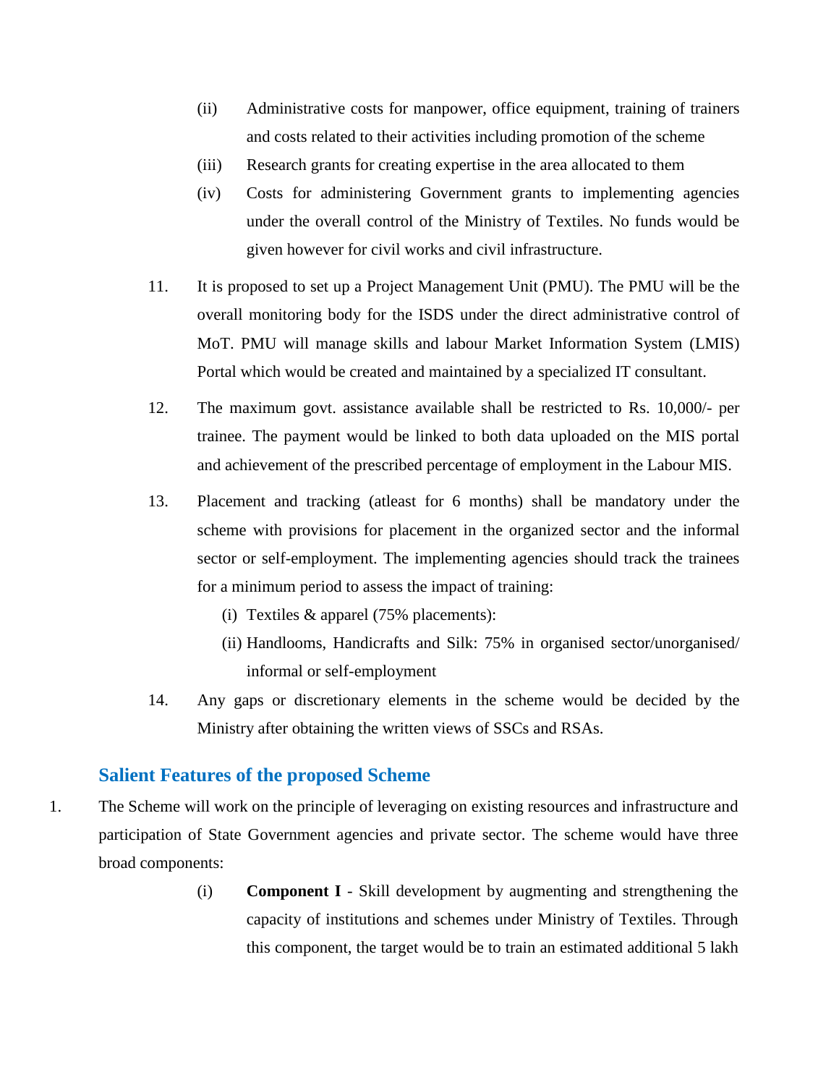- (ii) Administrative costs for manpower, office equipment, training of trainers and costs related to their activities including promotion of the scheme
- (iii) Research grants for creating expertise in the area allocated to them
- (iv) Costs for administering Government grants to implementing agencies under the overall control of the Ministry of Textiles. No funds would be given however for civil works and civil infrastructure.
- 11. It is proposed to set up a Project Management Unit (PMU). The PMU will be the overall monitoring body for the ISDS under the direct administrative control of MoT. PMU will manage skills and labour Market Information System (LMIS) Portal which would be created and maintained by a specialized IT consultant.
- 12. The maximum govt. assistance available shall be restricted to Rs. 10,000/- per trainee. The payment would be linked to both data uploaded on the MIS portal and achievement of the prescribed percentage of employment in the Labour MIS.
- 13. Placement and tracking (atleast for 6 months) shall be mandatory under the scheme with provisions for placement in the organized sector and the informal sector or self-employment. The implementing agencies should track the trainees for a minimum period to assess the impact of training:
	- (i) Textiles & apparel (75% placements):
	- (ii) Handlooms, Handicrafts and Silk: 75% in organised sector/unorganised/ informal or self-employment
- 14. Any gaps or discretionary elements in the scheme would be decided by the Ministry after obtaining the written views of SSCs and RSAs.

## **Salient Features of the proposed Scheme**

- 1. The Scheme will work on the principle of leveraging on existing resources and infrastructure and participation of State Government agencies and private sector. The scheme would have three broad components:
	- (i) **Component I** Skill development by augmenting and strengthening the capacity of institutions and schemes under Ministry of Textiles. Through this component, the target would be to train an estimated additional 5 lakh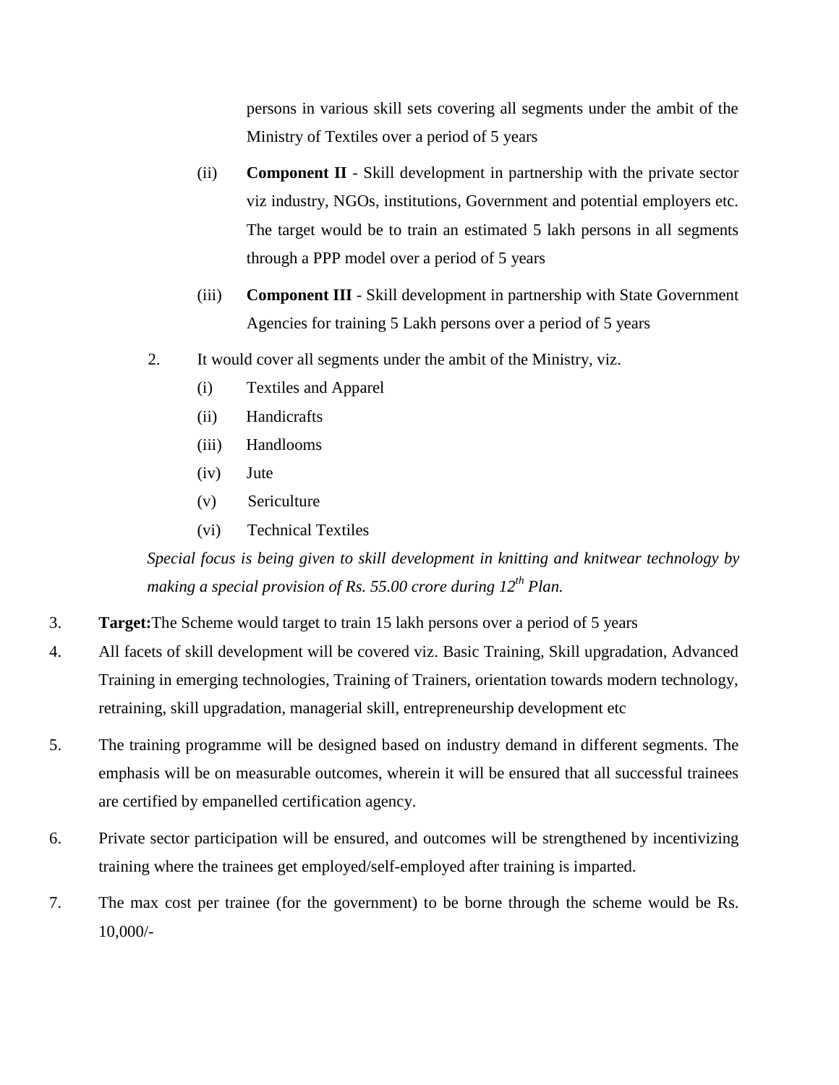persons in various skill sets covering all segments under the ambit of the Ministry of Textiles over a period of 5 years

- (ii) **Component II** Skill development in partnership with the private sector viz industry, NGOs, institutions, Government and potential employers etc. The target would be to train an estimated 5 lakh persons in all segments through a PPP model over a period of 5 years
- (iii) **Component III** Skill development in partnership with State Government Agencies for training 5 Lakh persons over a period of 5 years
- 2. It would cover all segments under the ambit of the Ministry, viz.
	- (i) Textiles and Apparel
	- (ii) Handicrafts
	- (iii) Handlooms
	- (iv) Jute
	- (v) Sericulture
	- (vi) Technical Textiles

*Special focus is being given to skill development in knitting and knitwear technology by making a special provision of Rs. 55.00 crore during 12th Plan.* 

- 3. **Target:**The Scheme would target to train 15 lakh persons over a period of 5 years
- 4. All facets of skill development will be covered viz. Basic Training, Skill upgradation, Advanced Training in emerging technologies, Training of Trainers, orientation towards modern technology, retraining, skill upgradation, managerial skill, entrepreneurship development etc
- 5. The training programme will be designed based on industry demand in different segments. The emphasis will be on measurable outcomes, wherein it will be ensured that all successful trainees are certified by empanelled certification agency.
- 6. Private sector participation will be ensured, and outcomes will be strengthened by incentivizing training where the trainees get employed/self-employed after training is imparted.
- 7. The max cost per trainee (for the government) to be borne through the scheme would be Rs. 10,000/-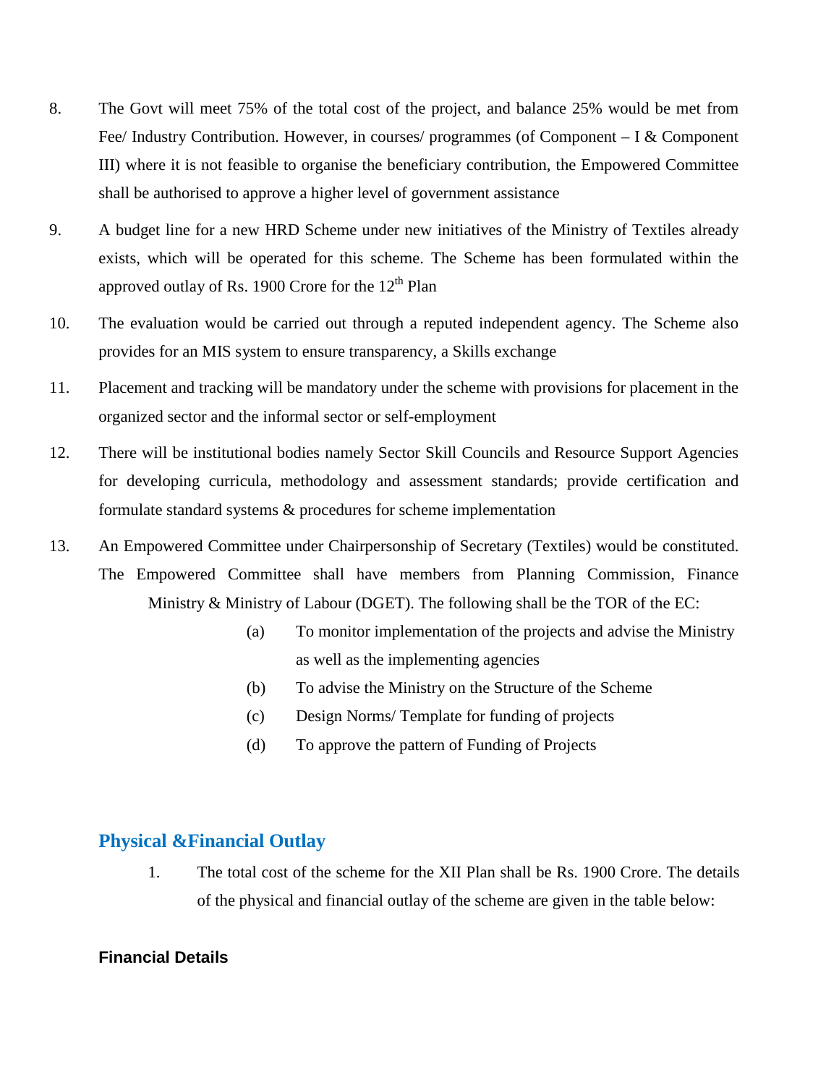- 8. The Govt will meet 75% of the total cost of the project, and balance 25% would be met from Fee/ Industry Contribution. However, in courses/ programmes (of Component – I & Component III) where it is not feasible to organise the beneficiary contribution, the Empowered Committee shall be authorised to approve a higher level of government assistance
- 9. A budget line for a new HRD Scheme under new initiatives of the Ministry of Textiles already exists, which will be operated for this scheme. The Scheme has been formulated within the approved outlay of Rs. 1900 Crore for the  $12<sup>th</sup>$  Plan
- 10. The evaluation would be carried out through a reputed independent agency. The Scheme also provides for an MIS system to ensure transparency, a Skills exchange
- 11. Placement and tracking will be mandatory under the scheme with provisions for placement in the organized sector and the informal sector or self-employment
- 12. There will be institutional bodies namely Sector Skill Councils and Resource Support Agencies for developing curricula, methodology and assessment standards; provide certification and formulate standard systems & procedures for scheme implementation
- 13. An Empowered Committee under Chairpersonship of Secretary (Textiles) would be constituted. The Empowered Committee shall have members from Planning Commission, Finance Ministry & Ministry of Labour (DGET). The following shall be the TOR of the EC:
	- (a) To monitor implementation of the projects and advise the Ministry as well as the implementing agencies
	- (b) To advise the Ministry on the Structure of the Scheme
	- (c) Design Norms/ Template for funding of projects
	- (d) To approve the pattern of Funding of Projects

## **Physical &Financial Outlay**

1. The total cost of the scheme for the XII Plan shall be Rs. 1900 Crore. The details of the physical and financial outlay of the scheme are given in the table below:

### **Financial Details**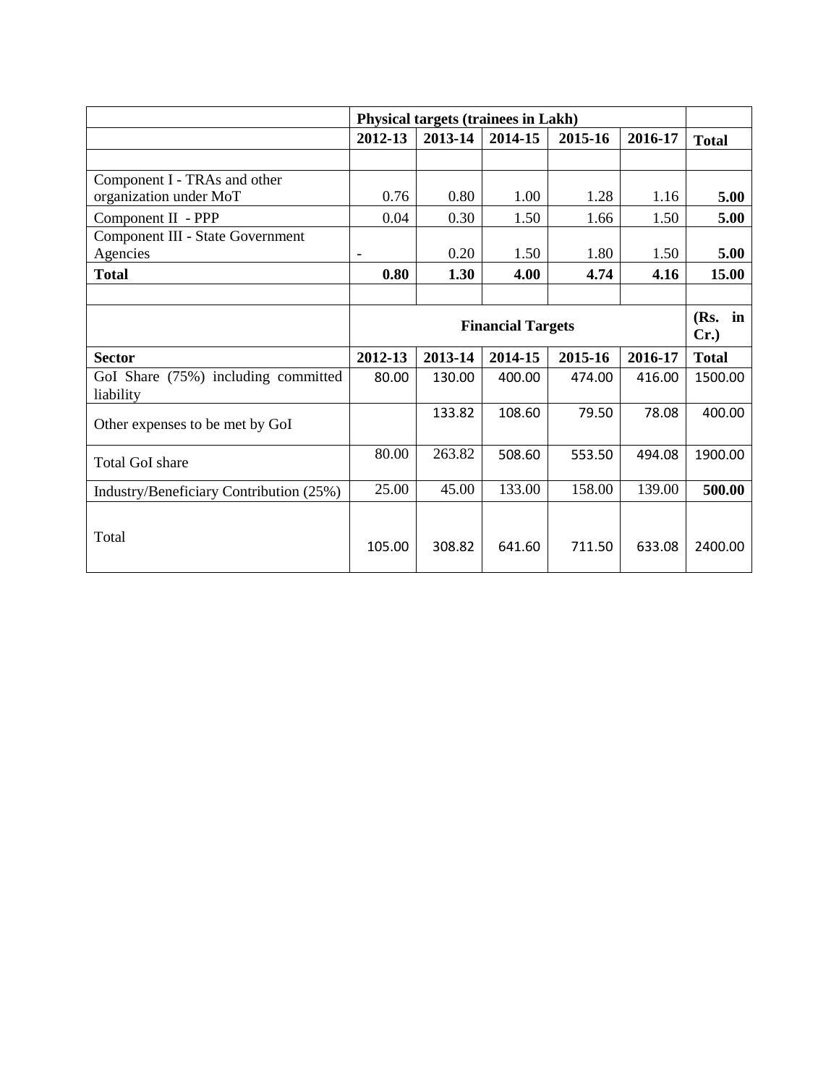|                                                  |         |         | <b>Physical targets (trainees in Lakh)</b> |         |         |                    |
|--------------------------------------------------|---------|---------|--------------------------------------------|---------|---------|--------------------|
|                                                  | 2012-13 | 2013-14 | 2014-15                                    | 2015-16 | 2016-17 | <b>Total</b>       |
|                                                  |         |         |                                            |         |         |                    |
| Component I - TRAs and other                     |         |         |                                            |         |         |                    |
| organization under MoT                           | 0.76    | 0.80    | 1.00                                       | 1.28    | 1.16    | 5.00               |
| Component II - PPP                               | 0.04    | 0.30    | 1.50                                       | 1.66    | 1.50    | 5.00               |
| Component III - State Government                 |         |         |                                            |         |         |                    |
| Agencies                                         |         | 0.20    | 1.50                                       | 1.80    | 1.50    | 5.00               |
| <b>Total</b>                                     | 0.80    | 1.30    | 4.00                                       | 4.74    | 4.16    | 15.00              |
|                                                  |         |         |                                            |         |         |                    |
|                                                  |         |         | <b>Financial Targets</b>                   |         |         | (Rs. in<br>$Cr.$ ) |
| <b>Sector</b>                                    | 2012-13 | 2013-14 | 2014-15                                    | 2015-16 | 2016-17 | <b>Total</b>       |
| GoI Share (75%) including committed<br>liability | 80.00   | 130.00  | 400.00                                     | 474.00  | 416.00  | 1500.00            |
| Other expenses to be met by GoI                  |         | 133.82  | 108.60                                     | 79.50   | 78.08   | 400.00             |
| <b>Total GoI share</b>                           | 80.00   | 263.82  | 508.60                                     | 553.50  | 494.08  | 1900.00            |
| Industry/Beneficiary Contribution (25%)          | 25.00   | 45.00   | 133.00                                     | 158.00  | 139.00  | 500.00             |
| Total                                            | 105.00  | 308.82  | 641.60                                     | 711.50  | 633.08  | 2400.00            |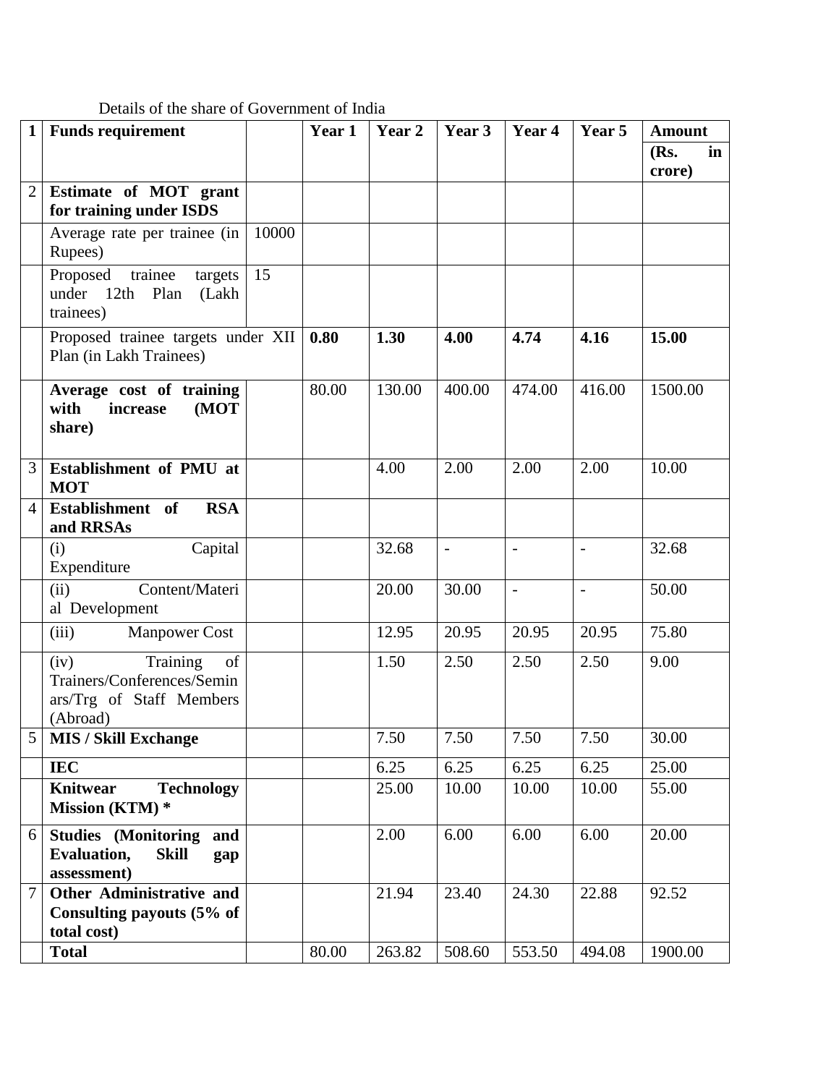| Details of the share of Government of India |  |  |
|---------------------------------------------|--|--|
|---------------------------------------------|--|--|

| $\mathbf{1}$   | <b>Funds requirement</b>                                                                      |       | Year 1 | Year 2 | Year 3        | Year 4                   | Year 5                   | <b>Amount</b>      |
|----------------|-----------------------------------------------------------------------------------------------|-------|--------|--------|---------------|--------------------------|--------------------------|--------------------|
|                |                                                                                               |       |        |        |               |                          |                          | (Rs.<br>in         |
|                |                                                                                               |       |        |        |               |                          |                          | crore)             |
| $\overline{2}$ | Estimate of MOT grant<br>for training under ISDS                                              |       |        |        |               |                          |                          |                    |
|                | Average rate per trainee (in                                                                  | 10000 |        |        |               |                          |                          |                    |
|                | Rupees)                                                                                       |       |        |        |               |                          |                          |                    |
|                | trainee<br>Proposed<br>targets<br>under 12th Plan<br>(Lakh<br>trainees)                       | 15    |        |        |               |                          |                          |                    |
|                | Proposed trainee targets under XII<br>Plan (in Lakh Trainees)                                 |       | 0.80   | 1.30   | 4.00          | 4.74                     | 4.16                     | 15.00              |
|                | Average cost of training<br>with<br>increase<br>(MOT<br>share)                                |       | 80.00  | 130.00 | 400.00        | 474.00                   | 416.00                   | 1500.00            |
| 3              | Establishment of PMU at<br><b>MOT</b>                                                         |       |        | 4.00   | 2.00          | 2.00                     | 2.00                     | 10.00              |
| $\overline{4}$ | Establishment of<br><b>RSA</b><br>and RRSAs                                                   |       |        |        |               |                          |                          |                    |
|                | (i)<br>Capital<br>Expenditure                                                                 |       |        | 32.68  | $\frac{1}{2}$ | $\overline{\phantom{0}}$ | $\blacksquare$           | 32.68              |
|                | Content/Materi<br>(ii)<br>al Development                                                      |       |        | 20.00  | 30.00         | $\overline{\phantom{0}}$ | $\overline{\phantom{a}}$ | 50.00              |
|                | (iii)<br><b>Manpower Cost</b>                                                                 |       |        | 12.95  | 20.95         | 20.95                    | 20.95                    | 75.80              |
|                | Training<br>of<br>(iv)<br>Trainers/Conferences/Semin<br>ars/Trg of Staff Members<br>(Abroad)  |       |        | 1.50   | 2.50          | 2.50                     | 2.50                     | 9.00               |
| $\mathcal{L}$  | <b>MIS / Skill Exchange</b>                                                                   |       |        | 7.50   | 7.50          | 7.50                     | 7.50                     | $\overline{30.00}$ |
|                | <b>IEC</b>                                                                                    |       |        | 6.25   | 6.25          | 6.25                     | 6.25                     | 25.00              |
|                | <b>Technology</b><br><b>Knitwear</b><br><b>Mission (KTM) *</b>                                |       |        | 25.00  | 10.00         | 10.00                    | 10.00                    | 55.00              |
| 6              | <b>Studies</b> (Monitoring<br>and<br><b>Evaluation,</b><br><b>Skill</b><br>gap<br>assessment) |       |        | 2.00   | 6.00          | 6.00                     | 6.00                     | 20.00              |
| 7              | <b>Other Administrative and</b><br>Consulting payouts (5% of<br>total cost)                   |       |        | 21.94  | 23.40         | 24.30                    | 22.88                    | 92.52              |
|                | <b>Total</b>                                                                                  |       | 80.00  | 263.82 | 508.60        | 553.50                   | 494.08                   | 1900.00            |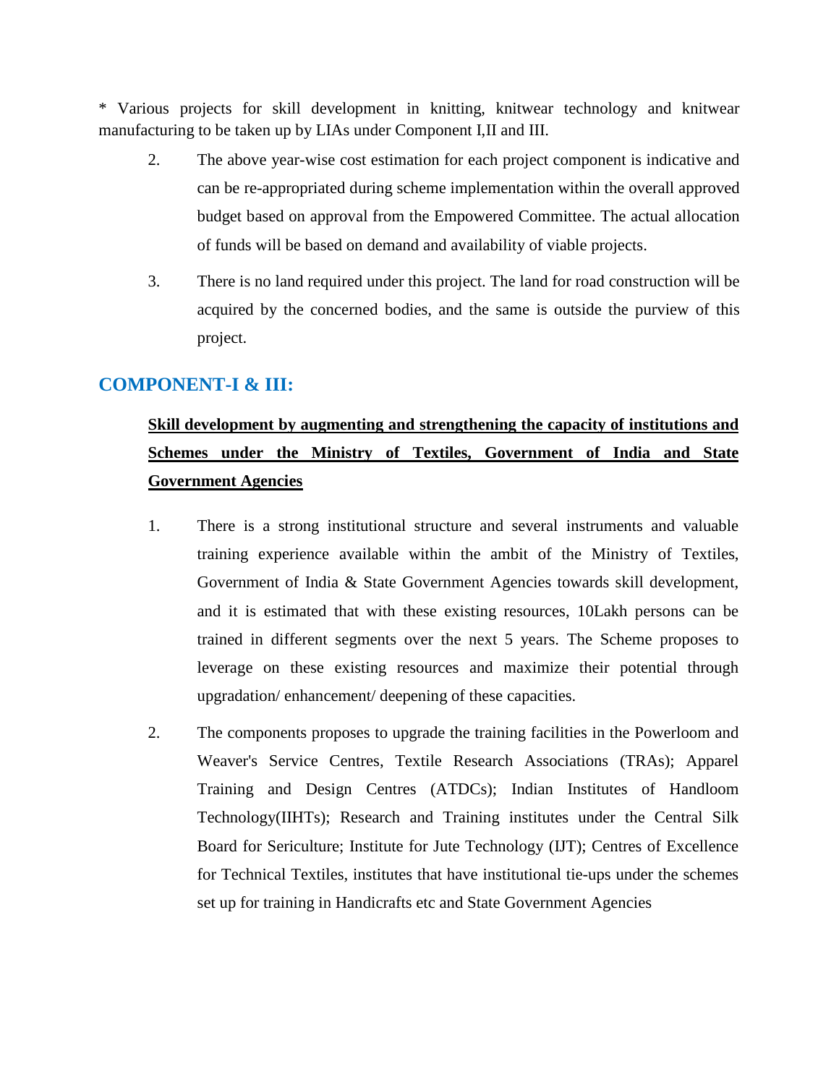\* Various projects for skill development in knitting, knitwear technology and knitwear manufacturing to be taken up by LIAs under Component I,II and III.

- 2. The above year-wise cost estimation for each project component is indicative and can be re-appropriated during scheme implementation within the overall approved budget based on approval from the Empowered Committee. The actual allocation of funds will be based on demand and availability of viable projects.
- 3. There is no land required under this project. The land for road construction will be acquired by the concerned bodies, and the same is outside the purview of this project.

# **COMPONENT-I & III:**

# **Skill development by augmenting and strengthening the capacity of institutions and Schemes under the Ministry of Textiles, Government of India and State Government Agencies**

- 1. There is a strong institutional structure and several instruments and valuable training experience available within the ambit of the Ministry of Textiles, Government of India & State Government Agencies towards skill development, and it is estimated that with these existing resources, 10Lakh persons can be trained in different segments over the next 5 years. The Scheme proposes to leverage on these existing resources and maximize their potential through upgradation/ enhancement/ deepening of these capacities.
- 2. The components proposes to upgrade the training facilities in the Powerloom and Weaver's Service Centres, Textile Research Associations (TRAs); Apparel Training and Design Centres (ATDCs); Indian Institutes of Handloom Technology(IIHTs); Research and Training institutes under the Central Silk Board for Sericulture; Institute for Jute Technology (IJT); Centres of Excellence for Technical Textiles, institutes that have institutional tie-ups under the schemes set up for training in Handicrafts etc and State Government Agencies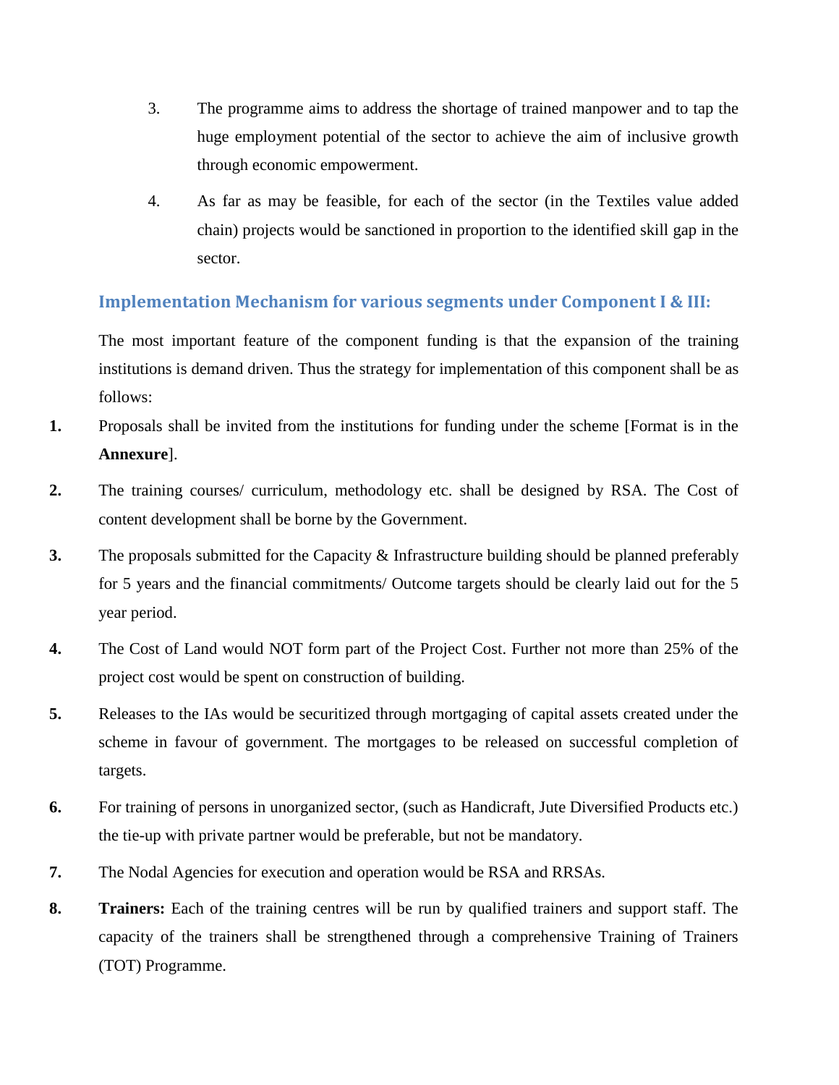- 3. The programme aims to address the shortage of trained manpower and to tap the huge employment potential of the sector to achieve the aim of inclusive growth through economic empowerment.
- 4. As far as may be feasible, for each of the sector (in the Textiles value added chain) projects would be sanctioned in proportion to the identified skill gap in the sector.

## **Implementation Mechanism for various segments under Component I & III:**

The most important feature of the component funding is that the expansion of the training institutions is demand driven. Thus the strategy for implementation of this component shall be as follows:

- **1.** Proposals shall be invited from the institutions for funding under the scheme [Format is in the **Annexure**].
- **2.** The training courses/ curriculum, methodology etc. shall be designed by RSA. The Cost of content development shall be borne by the Government.
- **3.** The proposals submitted for the Capacity & Infrastructure building should be planned preferably for 5 years and the financial commitments/ Outcome targets should be clearly laid out for the 5 year period.
- **4.** The Cost of Land would NOT form part of the Project Cost. Further not more than 25% of the project cost would be spent on construction of building.
- **5.** Releases to the IAs would be securitized through mortgaging of capital assets created under the scheme in favour of government. The mortgages to be released on successful completion of targets.
- **6.** For training of persons in unorganized sector, (such as Handicraft, Jute Diversified Products etc.) the tie-up with private partner would be preferable, but not be mandatory.
- **7.** The Nodal Agencies for execution and operation would be RSA and RRSAs.
- **8. Trainers:** Each of the training centres will be run by qualified trainers and support staff. The capacity of the trainers shall be strengthened through a comprehensive Training of Trainers (TOT) Programme.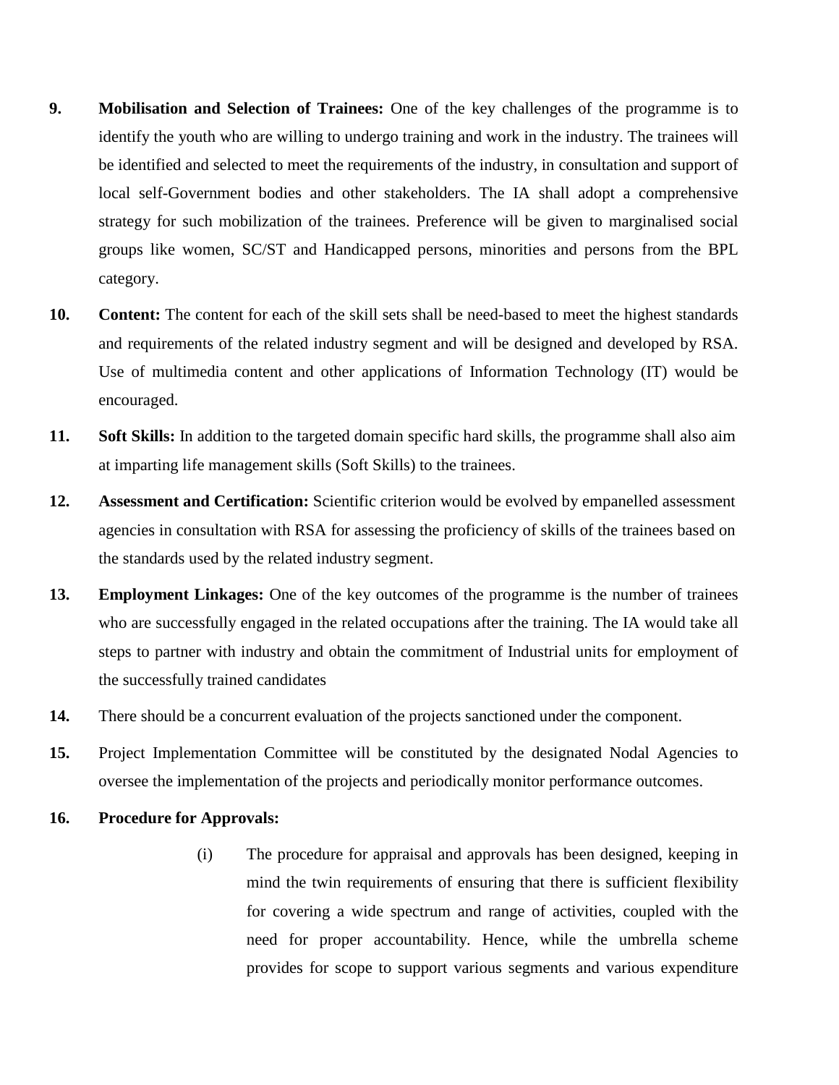- **9. Mobilisation and Selection of Trainees:** One of the key challenges of the programme is to identify the youth who are willing to undergo training and work in the industry. The trainees will be identified and selected to meet the requirements of the industry, in consultation and support of local self-Government bodies and other stakeholders. The IA shall adopt a comprehensive strategy for such mobilization of the trainees. Preference will be given to marginalised social groups like women, SC/ST and Handicapped persons, minorities and persons from the BPL category.
- **10. Content:** The content for each of the skill sets shall be need-based to meet the highest standards and requirements of the related industry segment and will be designed and developed by RSA. Use of multimedia content and other applications of Information Technology (IT) would be encouraged.
- **11. Soft Skills:** In addition to the targeted domain specific hard skills, the programme shall also aim at imparting life management skills (Soft Skills) to the trainees.
- **12. Assessment and Certification:** Scientific criterion would be evolved by empanelled assessment agencies in consultation with RSA for assessing the proficiency of skills of the trainees based on the standards used by the related industry segment.
- **13. Employment Linkages:** One of the key outcomes of the programme is the number of trainees who are successfully engaged in the related occupations after the training. The IA would take all steps to partner with industry and obtain the commitment of Industrial units for employment of the successfully trained candidates
- **14.** There should be a concurrent evaluation of the projects sanctioned under the component.
- 15. Project Implementation Committee will be constituted by the designated Nodal Agencies to oversee the implementation of the projects and periodically monitor performance outcomes.

### **16. Procedure for Approvals:**

(i) The procedure for appraisal and approvals has been designed, keeping in mind the twin requirements of ensuring that there is sufficient flexibility for covering a wide spectrum and range of activities, coupled with the need for proper accountability. Hence, while the umbrella scheme provides for scope to support various segments and various expenditure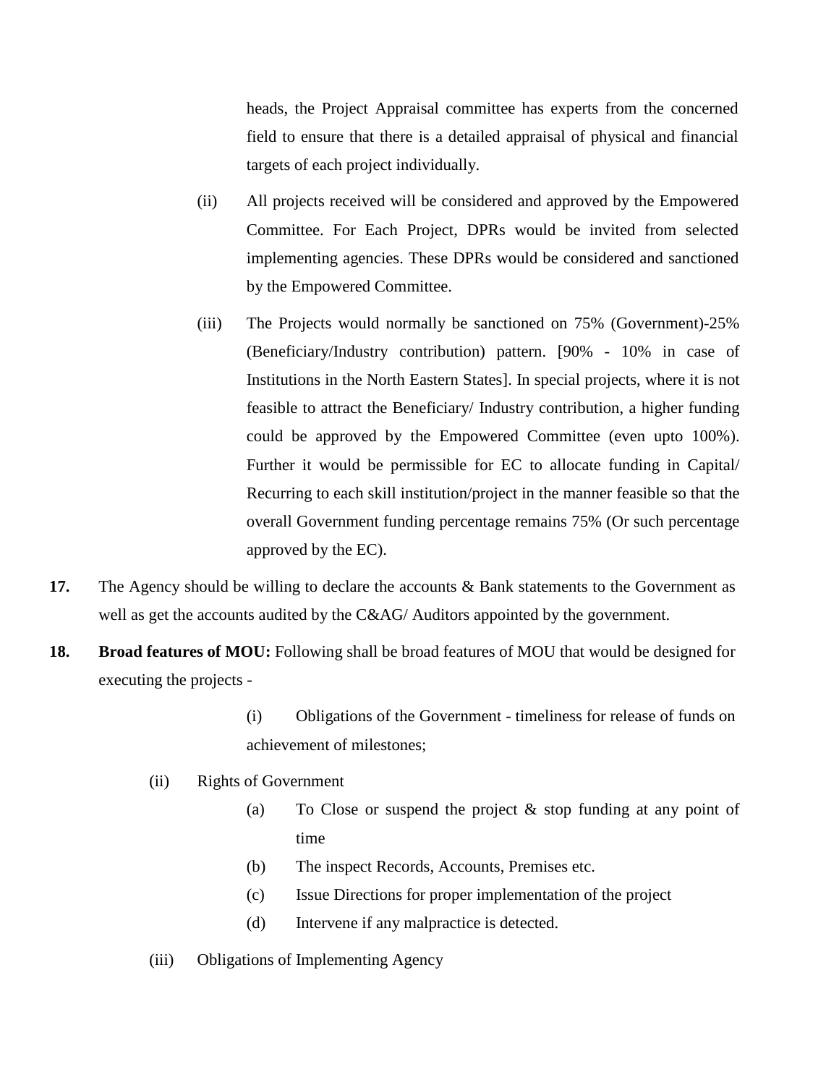heads, the Project Appraisal committee has experts from the concerned field to ensure that there is a detailed appraisal of physical and financial targets of each project individually.

- (ii) All projects received will be considered and approved by the Empowered Committee. For Each Project, DPRs would be invited from selected implementing agencies. These DPRs would be considered and sanctioned by the Empowered Committee.
- (iii) The Projects would normally be sanctioned on 75% (Government)-25% (Beneficiary/Industry contribution) pattern. [90% - 10% in case of Institutions in the North Eastern States]. In special projects, where it is not feasible to attract the Beneficiary/ Industry contribution, a higher funding could be approved by the Empowered Committee (even upto 100%). Further it would be permissible for EC to allocate funding in Capital/ Recurring to each skill institution/project in the manner feasible so that the overall Government funding percentage remains 75% (Or such percentage approved by the EC).
- **17.** The Agency should be willing to declare the accounts & Bank statements to the Government as well as get the accounts audited by the C&AG/ Auditors appointed by the government.
- **18. Broad features of MOU:** Following shall be broad features of MOU that would be designed for executing the projects -
	- (i) Obligations of the Government timeliness for release of funds on achievement of milestones;
	- (ii) Rights of Government
		- (a) To Close or suspend the project & stop funding at any point of time
		- (b) The inspect Records, Accounts, Premises etc.
		- (c) Issue Directions for proper implementation of the project
		- (d) Intervene if any malpractice is detected.
	- (iii) Obligations of Implementing Agency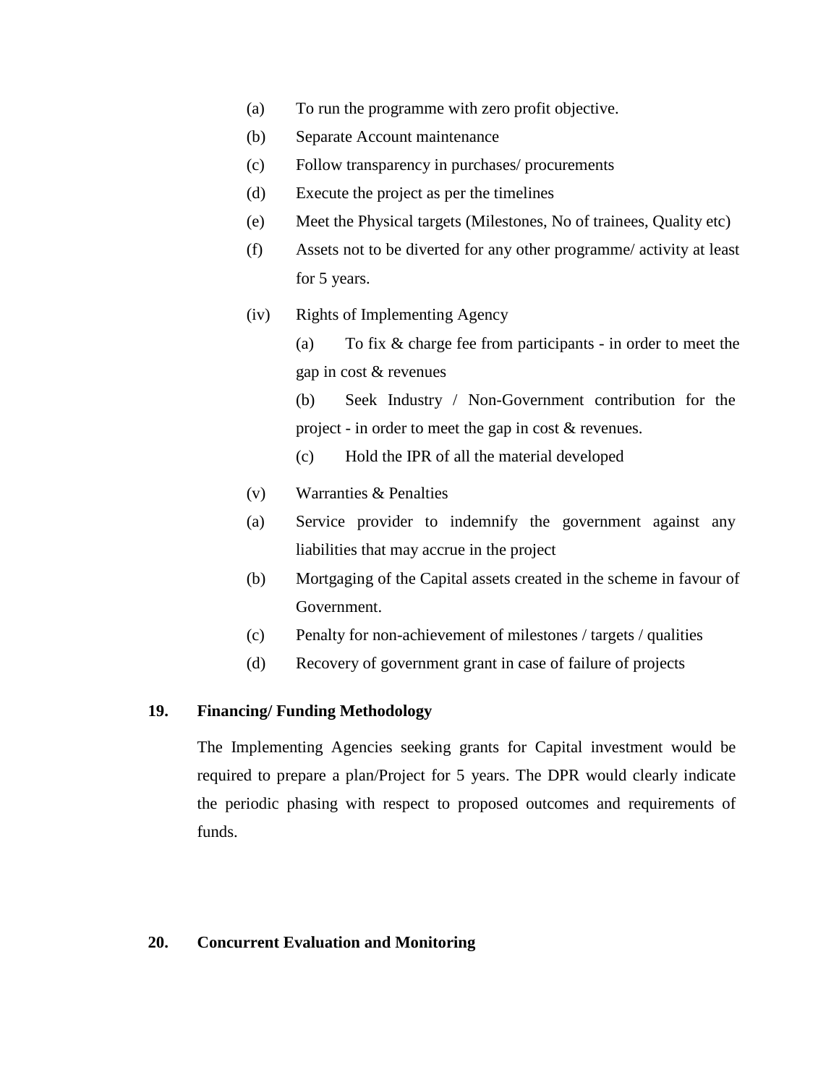- (a) To run the programme with zero profit objective.
- (b) Separate Account maintenance
- (c) Follow transparency in purchases/ procurements
- (d) Execute the project as per the timelines
- (e) Meet the Physical targets (Milestones, No of trainees, Quality etc)
- (f) Assets not to be diverted for any other programme/ activity at least for 5 years.
- (iv) Rights of Implementing Agency

(a) To fix & charge fee from participants - in order to meet the gap in cost & revenues

(b) Seek Industry / Non-Government contribution for the project - in order to meet the gap in cost & revenues.

- (c) Hold the IPR of all the material developed
- (v) Warranties & Penalties
- (a) Service provider to indemnify the government against any liabilities that may accrue in the project
- (b) Mortgaging of the Capital assets created in the scheme in favour of Government.
- (c) Penalty for non-achievement of milestones / targets / qualities
- (d) Recovery of government grant in case of failure of projects

### **19. Financing/ Funding Methodology**

The Implementing Agencies seeking grants for Capital investment would be required to prepare a plan/Project for 5 years. The DPR would clearly indicate the periodic phasing with respect to proposed outcomes and requirements of funds.

### **20. Concurrent Evaluation and Monitoring**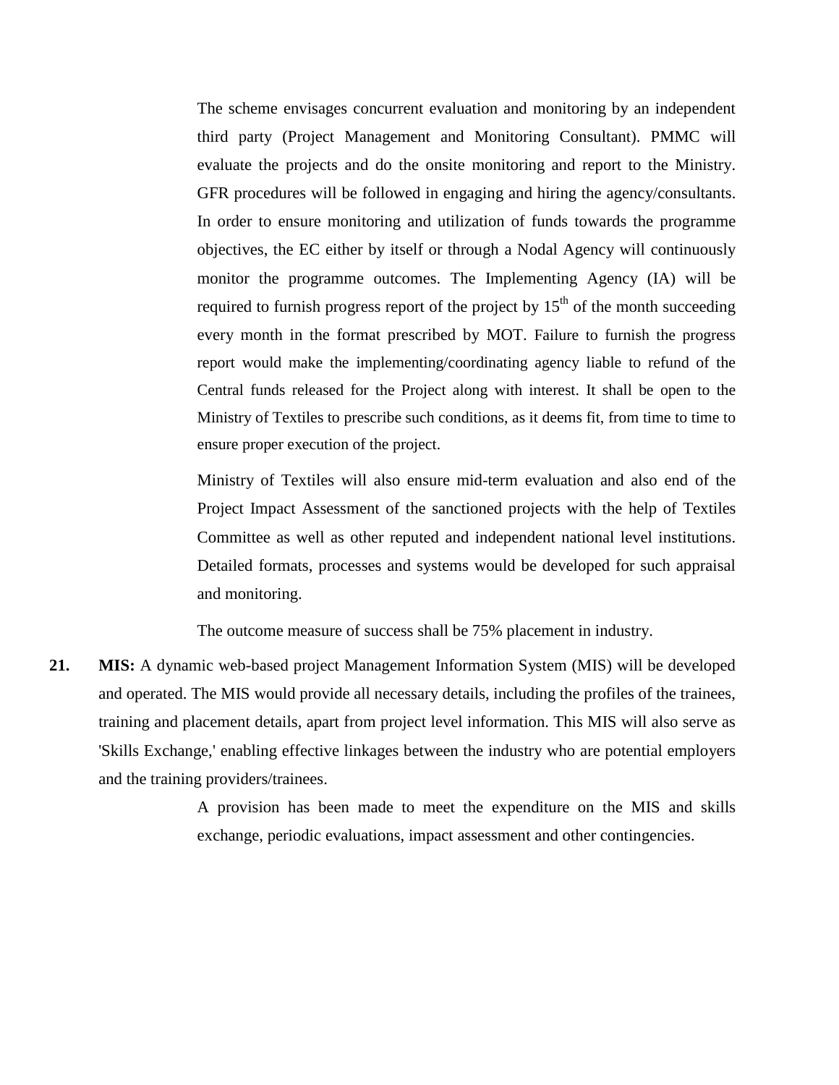The scheme envisages concurrent evaluation and monitoring by an independent third party (Project Management and Monitoring Consultant). PMMC will evaluate the projects and do the onsite monitoring and report to the Ministry. GFR procedures will be followed in engaging and hiring the agency/consultants. In order to ensure monitoring and utilization of funds towards the programme objectives, the EC either by itself or through a Nodal Agency will continuously monitor the programme outcomes. The Implementing Agency (IA) will be required to furnish progress report of the project by  $15<sup>th</sup>$  of the month succeeding every month in the format prescribed by MOT. Failure to furnish the progress report would make the implementing/coordinating agency liable to refund of the Central funds released for the Project along with interest. It shall be open to the Ministry of Textiles to prescribe such conditions, as it deems fit, from time to time to ensure proper execution of the project.

Ministry of Textiles will also ensure mid-term evaluation and also end of the Project Impact Assessment of the sanctioned projects with the help of Textiles Committee as well as other reputed and independent national level institutions. Detailed formats, processes and systems would be developed for such appraisal and monitoring.

The outcome measure of success shall be 75% placement in industry.

**21. MIS:** A dynamic web-based project Management Information System (MIS) will be developed and operated. The MIS would provide all necessary details, including the profiles of the trainees, training and placement details, apart from project level information. This MIS will also serve as 'Skills Exchange,' enabling effective linkages between the industry who are potential employers and the training providers/trainees.

> A provision has been made to meet the expenditure on the MIS and skills exchange, periodic evaluations, impact assessment and other contingencies.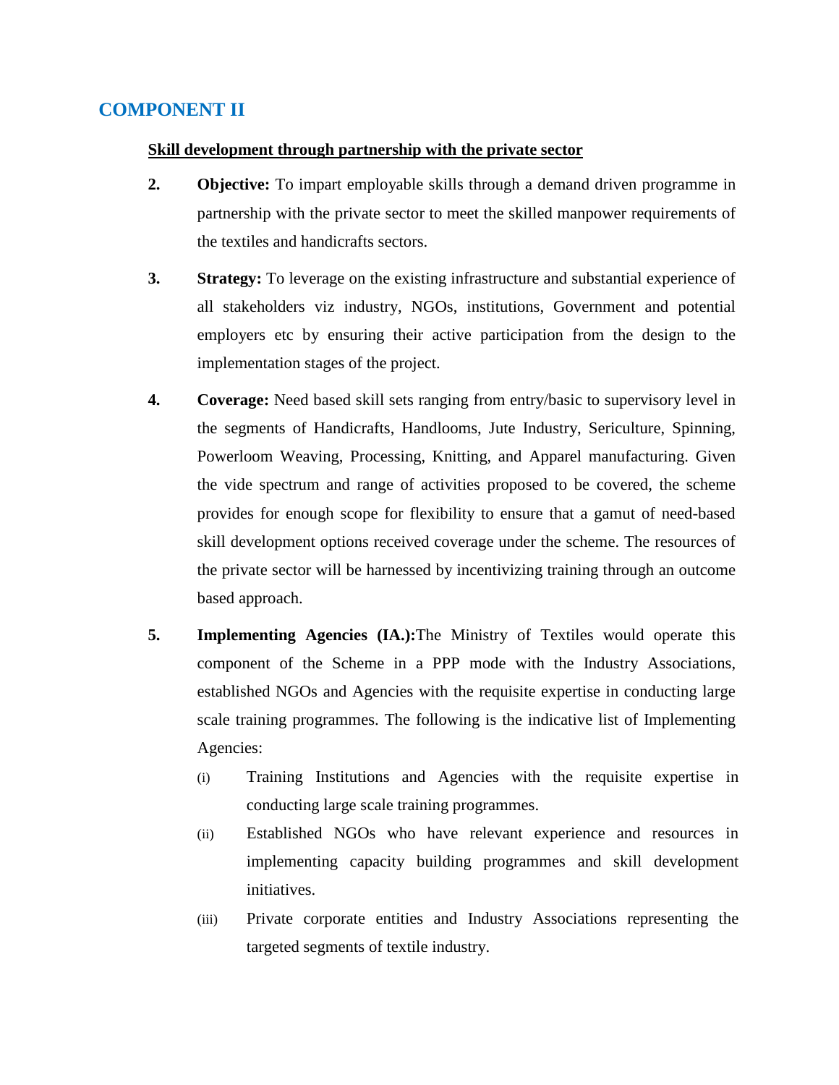# **COMPONENT II**

#### **Skill development through partnership with the private sector**

- **2. Objective:** To impart employable skills through a demand driven programme in partnership with the private sector to meet the skilled manpower requirements of the textiles and handicrafts sectors.
- **3. Strategy:** To leverage on the existing infrastructure and substantial experience of all stakeholders viz industry, NGOs, institutions, Government and potential employers etc by ensuring their active participation from the design to the implementation stages of the project.
- **4. Coverage:** Need based skill sets ranging from entry/basic to supervisory level in the segments of Handicrafts, Handlooms, Jute Industry, Sericulture, Spinning, Powerloom Weaving, Processing, Knitting, and Apparel manufacturing. Given the vide spectrum and range of activities proposed to be covered, the scheme provides for enough scope for flexibility to ensure that a gamut of need-based skill development options received coverage under the scheme. The resources of the private sector will be harnessed by incentivizing training through an outcome based approach.
- **5. Implementing Agencies (IA.):**The Ministry of Textiles would operate this component of the Scheme in a PPP mode with the Industry Associations, established NGOs and Agencies with the requisite expertise in conducting large scale training programmes. The following is the indicative list of Implementing Agencies:
	- (i) Training Institutions and Agencies with the requisite expertise in conducting large scale training programmes.
	- (ii) Established NGOs who have relevant experience and resources in implementing capacity building programmes and skill development initiatives.
	- (iii) Private corporate entities and Industry Associations representing the targeted segments of textile industry.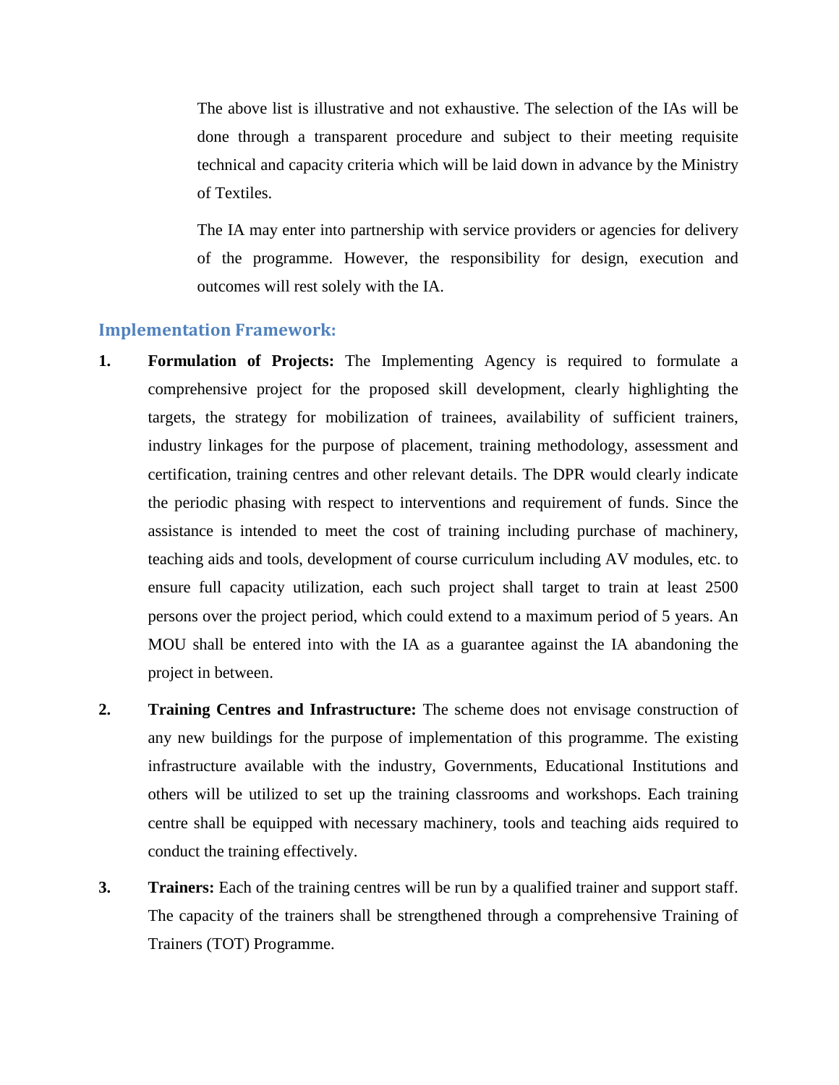The above list is illustrative and not exhaustive. The selection of the IAs will be done through a transparent procedure and subject to their meeting requisite technical and capacity criteria which will be laid down in advance by the Ministry of Textiles.

The IA may enter into partnership with service providers or agencies for delivery of the programme. However, the responsibility for design, execution and outcomes will rest solely with the IA.

### **Implementation Framework:**

- **1. Formulation of Projects:** The Implementing Agency is required to formulate a comprehensive project for the proposed skill development, clearly highlighting the targets, the strategy for mobilization of trainees, availability of sufficient trainers, industry linkages for the purpose of placement, training methodology, assessment and certification, training centres and other relevant details. The DPR would clearly indicate the periodic phasing with respect to interventions and requirement of funds. Since the assistance is intended to meet the cost of training including purchase of machinery, teaching aids and tools, development of course curriculum including AV modules, etc. to ensure full capacity utilization, each such project shall target to train at least 2500 persons over the project period, which could extend to a maximum period of 5 years. An MOU shall be entered into with the IA as a guarantee against the IA abandoning the project in between.
- **2. Training Centres and Infrastructure:** The scheme does not envisage construction of any new buildings for the purpose of implementation of this programme. The existing infrastructure available with the industry, Governments, Educational Institutions and others will be utilized to set up the training classrooms and workshops. Each training centre shall be equipped with necessary machinery, tools and teaching aids required to conduct the training effectively.
- **3. Trainers:** Each of the training centres will be run by a qualified trainer and support staff. The capacity of the trainers shall be strengthened through a comprehensive Training of Trainers (TOT) Programme.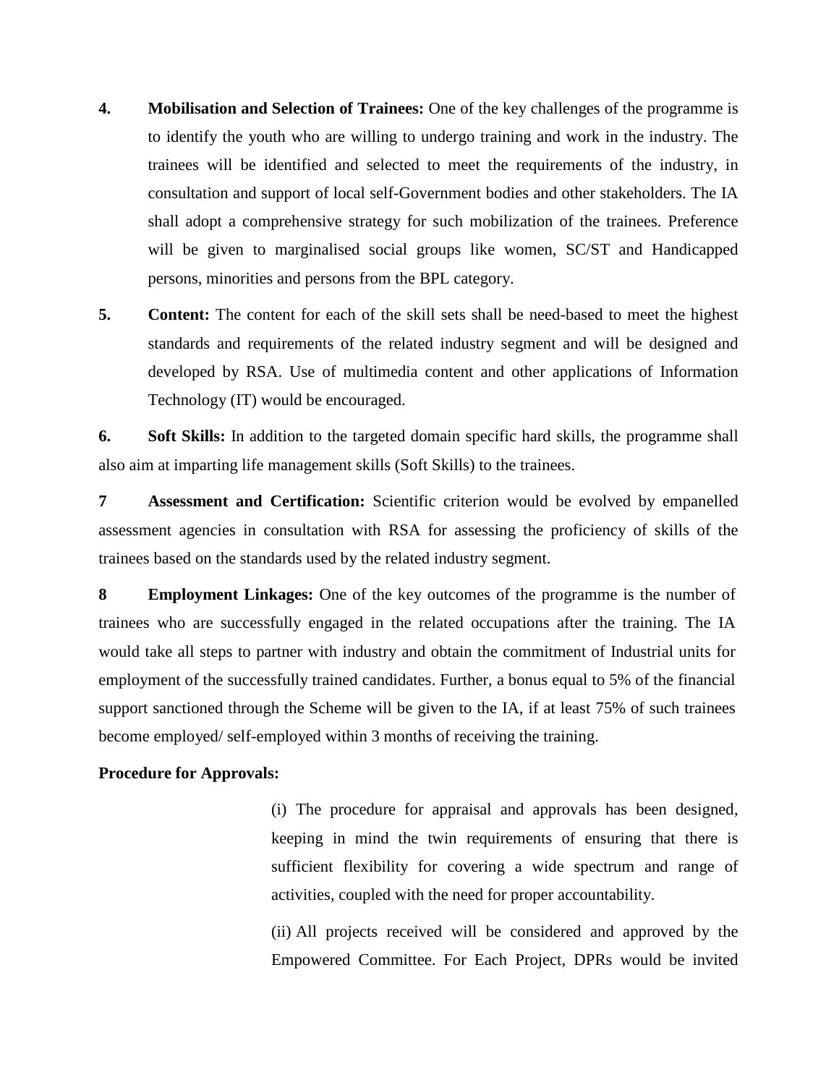- **4. Mobilisation and Selection of Trainees:** One of the key challenges of the programme is to identify the youth who are willing to undergo training and work in the industry. The trainees will be identified and selected to meet the requirements of the industry, in consultation and support of local self-Government bodies and other stakeholders. The IA shall adopt a comprehensive strategy for such mobilization of the trainees. Preference will be given to marginalised social groups like women, SC/ST and Handicapped persons, minorities and persons from the BPL category.
- **5. Content:** The content for each of the skill sets shall be need-based to meet the highest standards and requirements of the related industry segment and will be designed and developed by RSA. Use of multimedia content and other applications of Information Technology (IT) would be encouraged.

**6. Soft Skills:** In addition to the targeted domain specific hard skills, the programme shall also aim at imparting life management skills (Soft Skills) to the trainees.

**7 Assessment and Certification:** Scientific criterion would be evolved by empanelled assessment agencies in consultation with RSA for assessing the proficiency of skills of the trainees based on the standards used by the related industry segment.

**8 Employment Linkages:** One of the key outcomes of the programme is the number of trainees who are successfully engaged in the related occupations after the training. The IA would take all steps to partner with industry and obtain the commitment of Industrial units for employment of the successfully trained candidates. Further, a bonus equal to 5% of the financial support sanctioned through the Scheme will be given to the IA, if at least 75% of such trainees become employed/ self-employed within 3 months of receiving the training.

#### **Procedure for Approvals:**

(i) The procedure for appraisal and approvals has been designed, keeping in mind the twin requirements of ensuring that there is sufficient flexibility for covering a wide spectrum and range of activities, coupled with the need for proper accountability.

(ii) All projects received will be considered and approved by the Empowered Committee. For Each Project, DPRs would be invited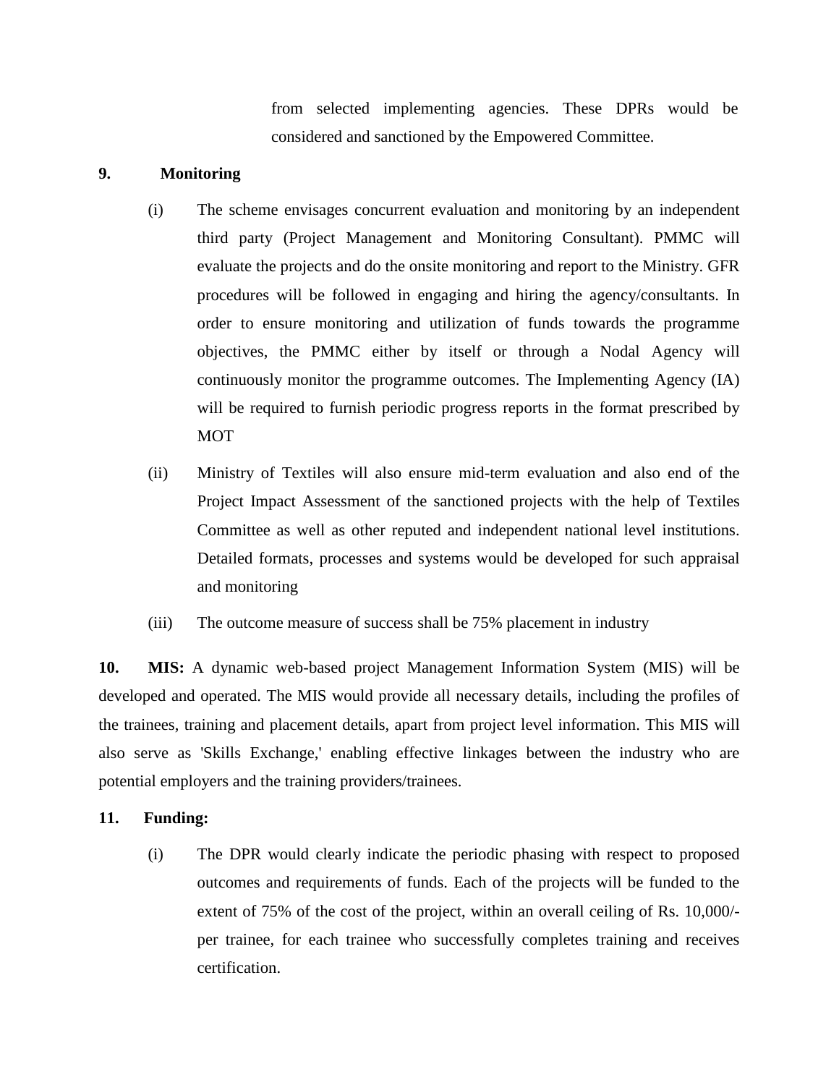from selected implementing agencies. These DPRs would be considered and sanctioned by the Empowered Committee.

### **9. Monitoring**

- (i) The scheme envisages concurrent evaluation and monitoring by an independent third party (Project Management and Monitoring Consultant). PMMC will evaluate the projects and do the onsite monitoring and report to the Ministry. GFR procedures will be followed in engaging and hiring the agency/consultants. In order to ensure monitoring and utilization of funds towards the programme objectives, the PMMC either by itself or through a Nodal Agency will continuously monitor the programme outcomes. The Implementing Agency (IA) will be required to furnish periodic progress reports in the format prescribed by MOT
- (ii) Ministry of Textiles will also ensure mid-term evaluation and also end of the Project Impact Assessment of the sanctioned projects with the help of Textiles Committee as well as other reputed and independent national level institutions. Detailed formats, processes and systems would be developed for such appraisal and monitoring
- (iii) The outcome measure of success shall be 75% placement in industry

**10. MIS:** A dynamic web-based project Management Information System (MIS) will be developed and operated. The MIS would provide all necessary details, including the profiles of the trainees, training and placement details, apart from project level information. This MIS will also serve as 'Skills Exchange,' enabling effective linkages between the industry who are potential employers and the training providers/trainees.

### **11. Funding:**

(i) The DPR would clearly indicate the periodic phasing with respect to proposed outcomes and requirements of funds. Each of the projects will be funded to the extent of 75% of the cost of the project, within an overall ceiling of Rs. 10,000/ per trainee, for each trainee who successfully completes training and receives certification.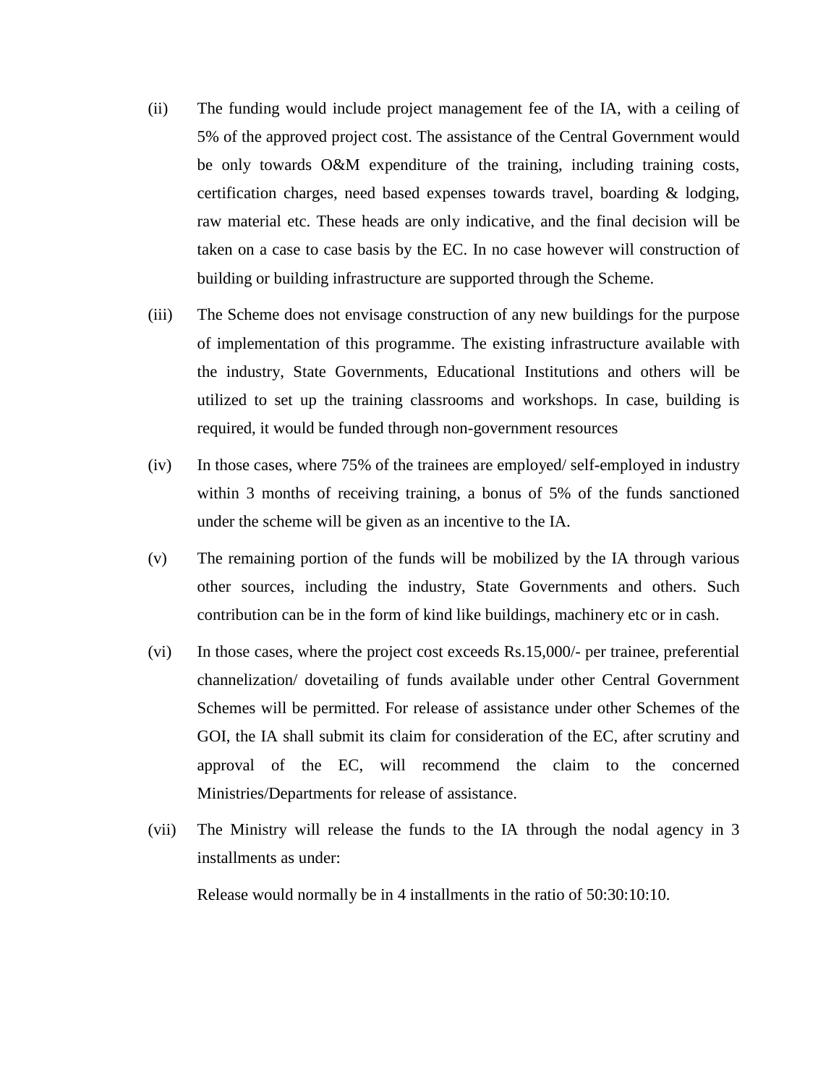- (ii) The funding would include project management fee of the IA, with a ceiling of 5% of the approved project cost. The assistance of the Central Government would be only towards O&M expenditure of the training, including training costs, certification charges, need based expenses towards travel, boarding & lodging, raw material etc. These heads are only indicative, and the final decision will be taken on a case to case basis by the EC. In no case however will construction of building or building infrastructure are supported through the Scheme.
- (iii) The Scheme does not envisage construction of any new buildings for the purpose of implementation of this programme. The existing infrastructure available with the industry, State Governments, Educational Institutions and others will be utilized to set up the training classrooms and workshops. In case, building is required, it would be funded through non-government resources
- (iv) In those cases, where 75% of the trainees are employed/ self-employed in industry within 3 months of receiving training, a bonus of 5% of the funds sanctioned under the scheme will be given as an incentive to the IA.
- (v) The remaining portion of the funds will be mobilized by the IA through various other sources, including the industry, State Governments and others. Such contribution can be in the form of kind like buildings, machinery etc or in cash.
- (vi) In those cases, where the project cost exceeds Rs.15,000/- per trainee, preferential channelization/ dovetailing of funds available under other Central Government Schemes will be permitted. For release of assistance under other Schemes of the GOI, the IA shall submit its claim for consideration of the EC, after scrutiny and approval of the EC, will recommend the claim to the concerned Ministries/Departments for release of assistance.
- (vii) The Ministry will release the funds to the IA through the nodal agency in 3 installments as under:

Release would normally be in 4 installments in the ratio of 50:30:10:10.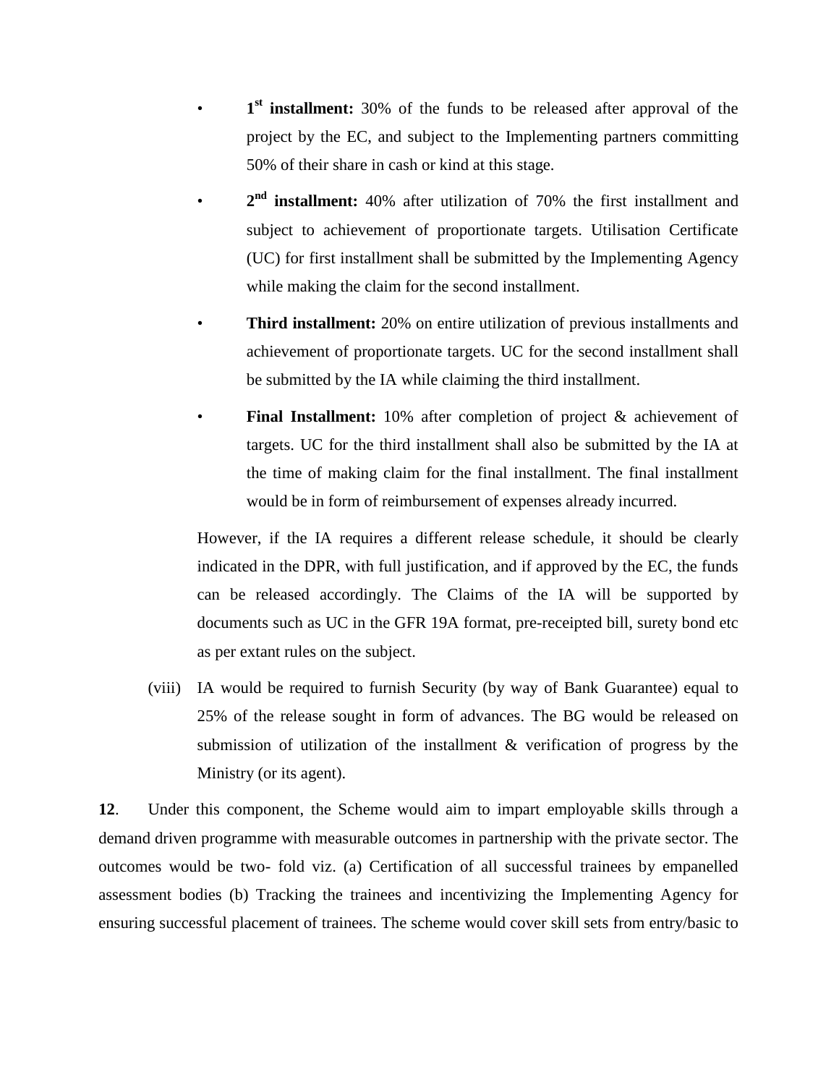- 1<sup>st</sup> **installment:** 30% of the funds to be released after approval of the project by the EC, and subject to the Implementing partners committing 50% of their share in cash or kind at this stage.
- **2nd installment:** 40% after utilization of 70% the first installment and subject to achievement of proportionate targets. Utilisation Certificate (UC) for first installment shall be submitted by the Implementing Agency while making the claim for the second installment.
- **Third installment:** 20% on entire utilization of previous installments and achievement of proportionate targets. UC for the second installment shall be submitted by the IA while claiming the third installment.
- **Final Installment:** 10% after completion of project & achievement of targets. UC for the third installment shall also be submitted by the IA at the time of making claim for the final installment. The final installment would be in form of reimbursement of expenses already incurred.

However, if the IA requires a different release schedule, it should be clearly indicated in the DPR, with full justification, and if approved by the EC, the funds can be released accordingly. The Claims of the IA will be supported by documents such as UC in the GFR 19A format, pre-receipted bill, surety bond etc as per extant rules on the subject.

(viii) IA would be required to furnish Security (by way of Bank Guarantee) equal to 25% of the release sought in form of advances. The BG would be released on submission of utilization of the installment & verification of progress by the Ministry (or its agent).

**12**. Under this component, the Scheme would aim to impart employable skills through a demand driven programme with measurable outcomes in partnership with the private sector. The outcomes would be two- fold viz. (a) Certification of all successful trainees by empanelled assessment bodies (b) Tracking the trainees and incentivizing the Implementing Agency for ensuring successful placement of trainees. The scheme would cover skill sets from entry/basic to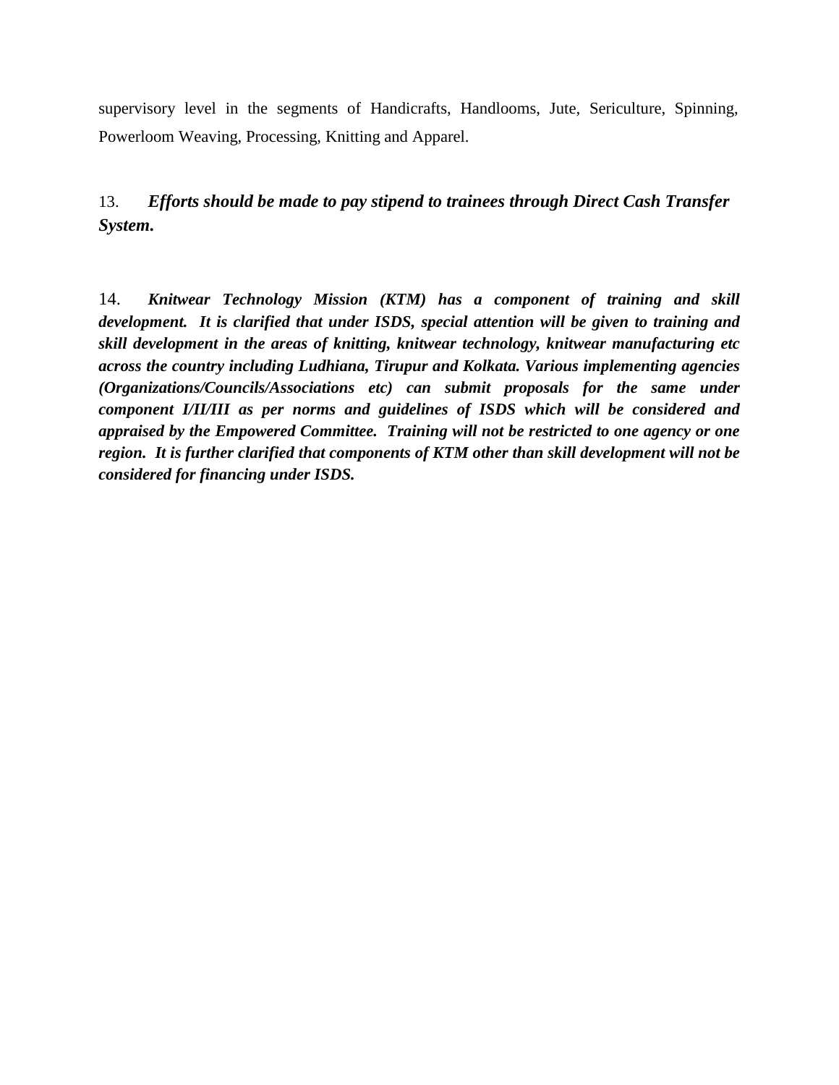supervisory level in the segments of Handicrafts, Handlooms, Jute, Sericulture, Spinning, Powerloom Weaving, Processing, Knitting and Apparel.

13. *Efforts should be made to pay stipend to trainees through Direct Cash Transfer System.*

14. *Knitwear Technology Mission (KTM) has a component of training and skill development. It is clarified that under ISDS, special attention will be given to training and skill development in the areas of knitting, knitwear technology, knitwear manufacturing etc across the country including Ludhiana, Tirupur and Kolkata. Various implementing agencies (Organizations/Councils/Associations etc) can submit proposals for the same under component I/II/III as per norms and guidelines of ISDS which will be considered and appraised by the Empowered Committee. Training will not be restricted to one agency or one region. It is further clarified that components of KTM other than skill development will not be considered for financing under ISDS.*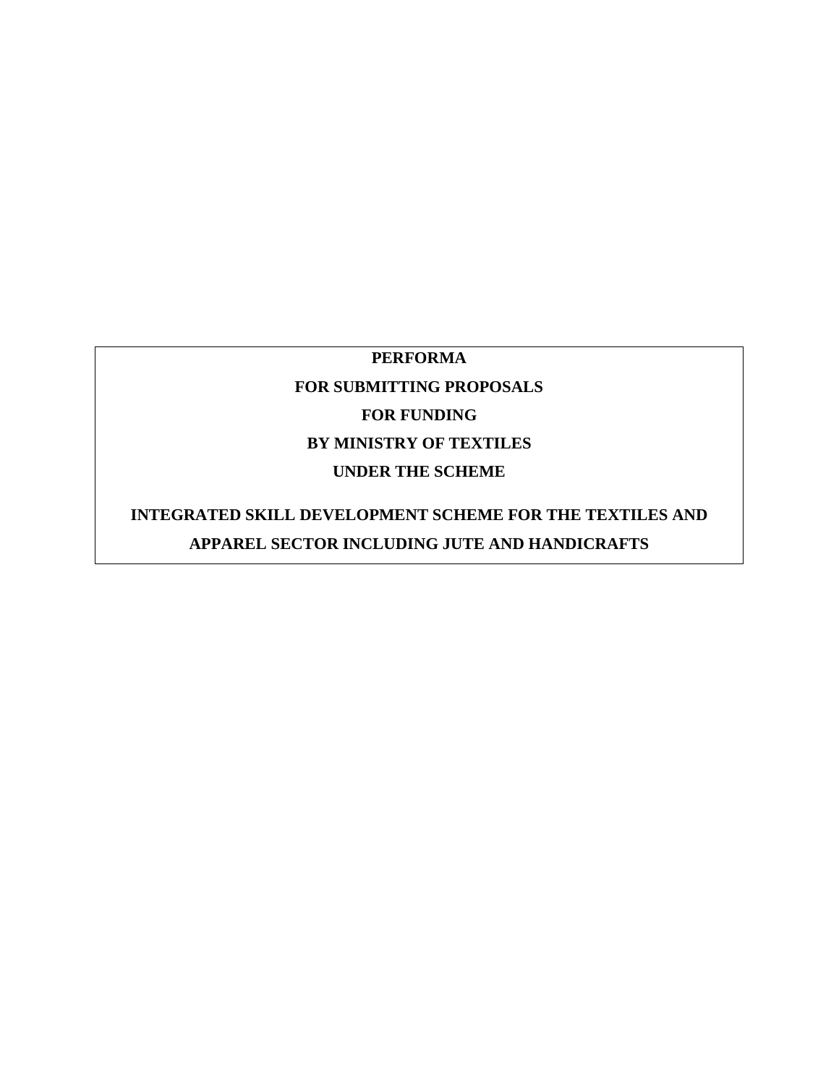# **PERFORMA FOR SUBMITTING PROPOSALS FOR FUNDING BY MINISTRY OF TEXTILES UNDER THE SCHEME**

# **INTEGRATED SKILL DEVELOPMENT SCHEME FOR THE TEXTILES AND APPAREL SECTOR INCLUDING JUTE AND HANDICRAFTS**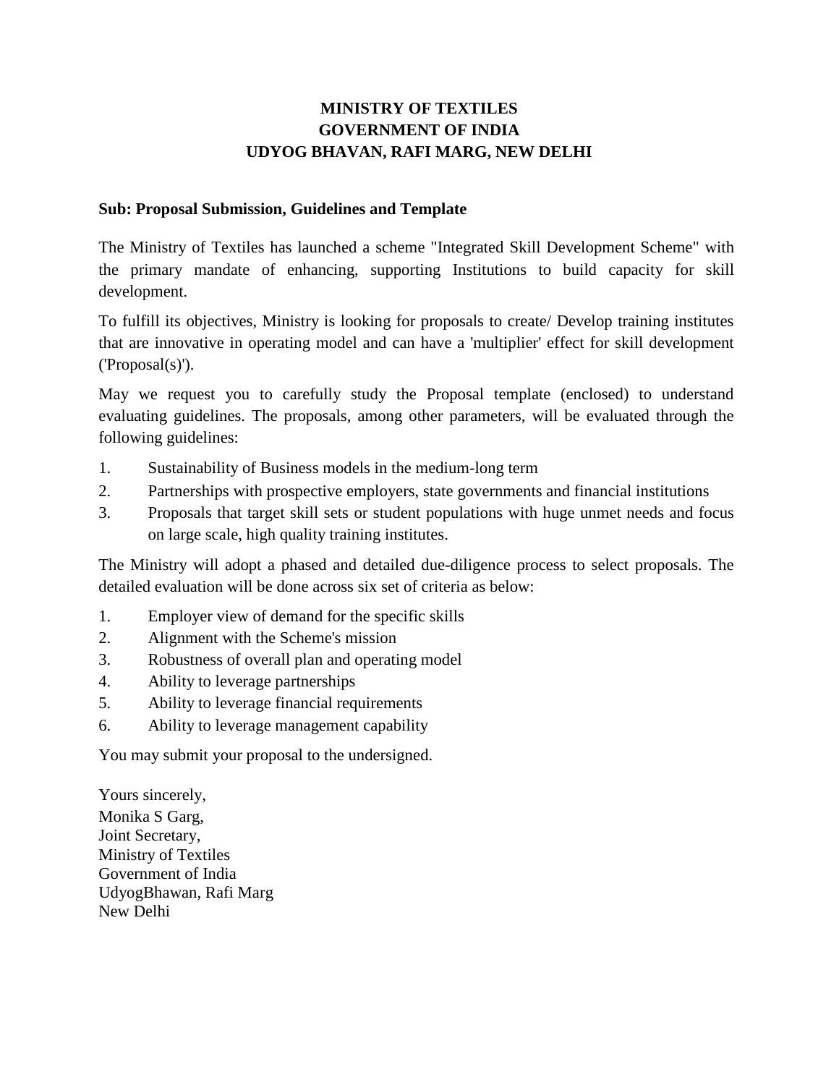# **MINISTRY OF TEXTILES GOVERNMENT OF INDIA UDYOG BHAVAN, RAFI MARG, NEW DELHI**

### **Sub: Proposal Submission, Guidelines and Template**

The Ministry of Textiles has launched a scheme "Integrated Skill Development Scheme" with the primary mandate of enhancing, supporting Institutions to build capacity for skill development.

To fulfill its objectives, Ministry is looking for proposals to create/ Develop training institutes that are innovative in operating model and can have a 'multiplier' effect for skill development ('Proposal(s)').

May we request you to carefully study the Proposal template (enclosed) to understand evaluating guidelines. The proposals, among other parameters, will be evaluated through the following guidelines:

- 1. Sustainability of Business models in the medium-long term
- 2. Partnerships with prospective employers, state governments and financial institutions
- 3. Proposals that target skill sets or student populations with huge unmet needs and focus on large scale, high quality training institutes.

The Ministry will adopt a phased and detailed due-diligence process to select proposals. The detailed evaluation will be done across six set of criteria as below:

- 1. Employer view of demand for the specific skills
- 2. Alignment with the Scheme's mission
- 3. Robustness of overall plan and operating model
- 4. Ability to leverage partnerships
- 5. Ability to leverage financial requirements
- 6. Ability to leverage management capability

You may submit your proposal to the undersigned.

Yours sincerely, Monika S Garg, Joint Secretary, Ministry of Textiles Government of India UdyogBhawan, Rafi Marg New Delhi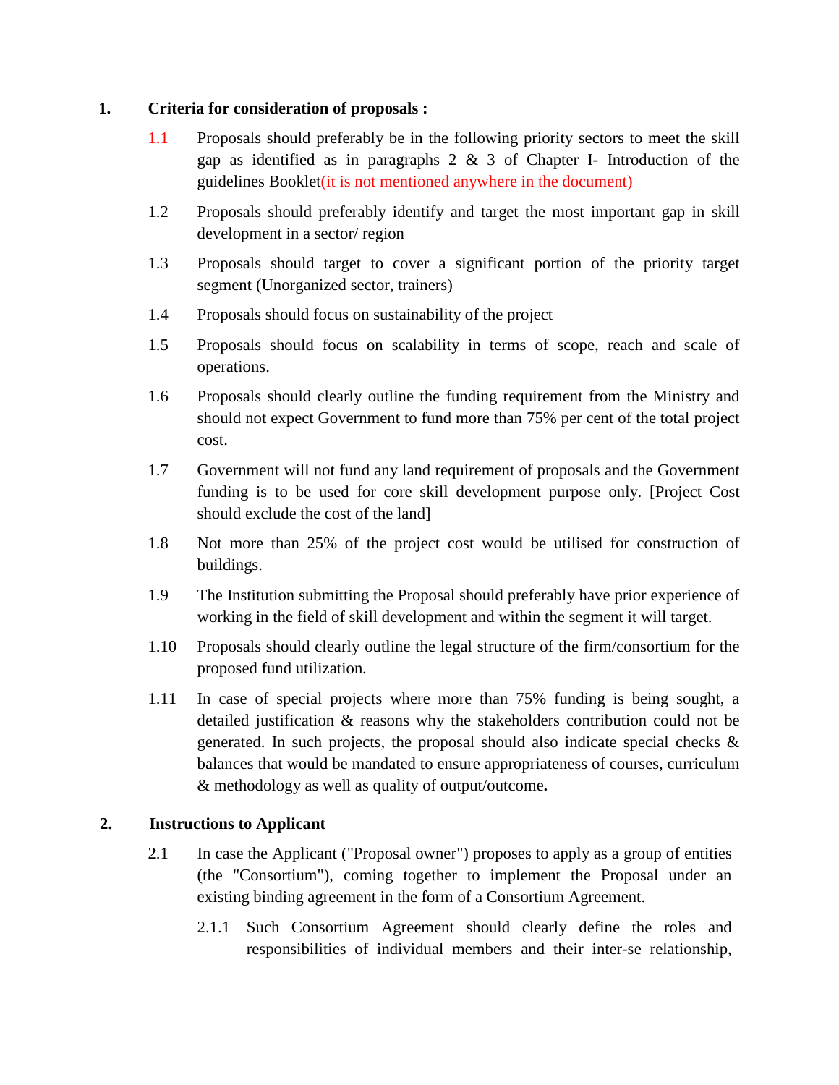## **1. Criteria for consideration of proposals :**

- 1.1 Proposals should preferably be in the following priority sectors to meet the skill gap as identified as in paragraphs  $2 \& 3$  of Chapter I- Introduction of the guidelines Booklet(it is not mentioned anywhere in the document)
- 1.2 Proposals should preferably identify and target the most important gap in skill development in a sector/ region
- 1.3 Proposals should target to cover a significant portion of the priority target segment (Unorganized sector, trainers)
- 1.4 Proposals should focus on sustainability of the project
- 1.5 Proposals should focus on scalability in terms of scope, reach and scale of operations.
- 1.6 Proposals should clearly outline the funding requirement from the Ministry and should not expect Government to fund more than 75% per cent of the total project cost.
- 1.7 Government will not fund any land requirement of proposals and the Government funding is to be used for core skill development purpose only. [Project Cost should exclude the cost of the land]
- 1.8 Not more than 25% of the project cost would be utilised for construction of buildings.
- 1.9 The Institution submitting the Proposal should preferably have prior experience of working in the field of skill development and within the segment it will target.
- 1.10 Proposals should clearly outline the legal structure of the firm/consortium for the proposed fund utilization.
- 1.11 In case of special projects where more than 75% funding is being sought, a detailed justification & reasons why the stakeholders contribution could not be generated. In such projects, the proposal should also indicate special checks  $\&$ balances that would be mandated to ensure appropriateness of courses, curriculum & methodology as well as quality of output/outcome**.**

## **2. Instructions to Applicant**

- 2.1 In case the Applicant ("Proposal owner") proposes to apply as a group of entities (the "Consortium"), coming together to implement the Proposal under an existing binding agreement in the form of a Consortium Agreement.
	- 2.1.1 Such Consortium Agreement should clearly define the roles and responsibilities of individual members and their inter-se relationship,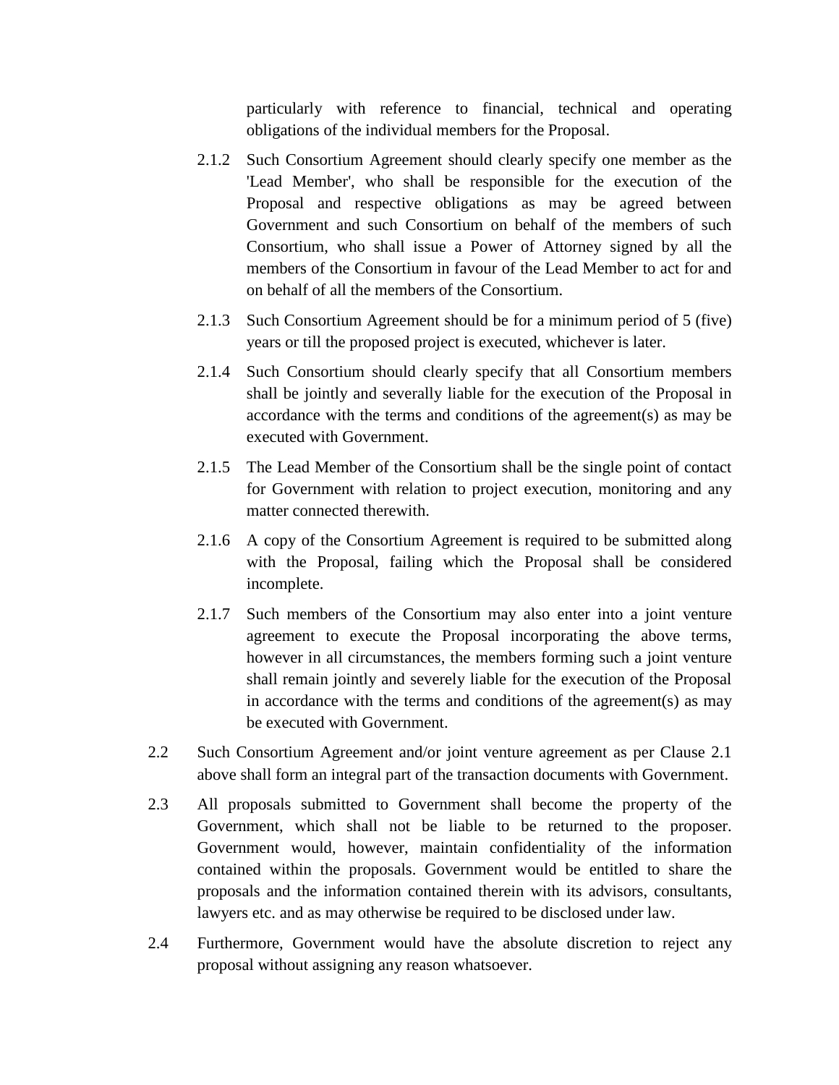particularly with reference to financial, technical and operating obligations of the individual members for the Proposal.

- 2.1.2 Such Consortium Agreement should clearly specify one member as the 'Lead Member', who shall be responsible for the execution of the Proposal and respective obligations as may be agreed between Government and such Consortium on behalf of the members of such Consortium, who shall issue a Power of Attorney signed by all the members of the Consortium in favour of the Lead Member to act for and on behalf of all the members of the Consortium.
- 2.1.3 Such Consortium Agreement should be for a minimum period of 5 (five) years or till the proposed project is executed, whichever is later.
- 2.1.4 Such Consortium should clearly specify that all Consortium members shall be jointly and severally liable for the execution of the Proposal in accordance with the terms and conditions of the agreement(s) as may be executed with Government.
- 2.1.5 The Lead Member of the Consortium shall be the single point of contact for Government with relation to project execution, monitoring and any matter connected therewith.
- 2.1.6 A copy of the Consortium Agreement is required to be submitted along with the Proposal, failing which the Proposal shall be considered incomplete.
- 2.1.7 Such members of the Consortium may also enter into a joint venture agreement to execute the Proposal incorporating the above terms, however in all circumstances, the members forming such a joint venture shall remain jointly and severely liable for the execution of the Proposal in accordance with the terms and conditions of the agreement(s) as may be executed with Government.
- 2.2 Such Consortium Agreement and/or joint venture agreement as per Clause 2.1 above shall form an integral part of the transaction documents with Government.
- 2.3 All proposals submitted to Government shall become the property of the Government, which shall not be liable to be returned to the proposer. Government would, however, maintain confidentiality of the information contained within the proposals. Government would be entitled to share the proposals and the information contained therein with its advisors, consultants, lawyers etc. and as may otherwise be required to be disclosed under law.
- 2.4 Furthermore, Government would have the absolute discretion to reject any proposal without assigning any reason whatsoever.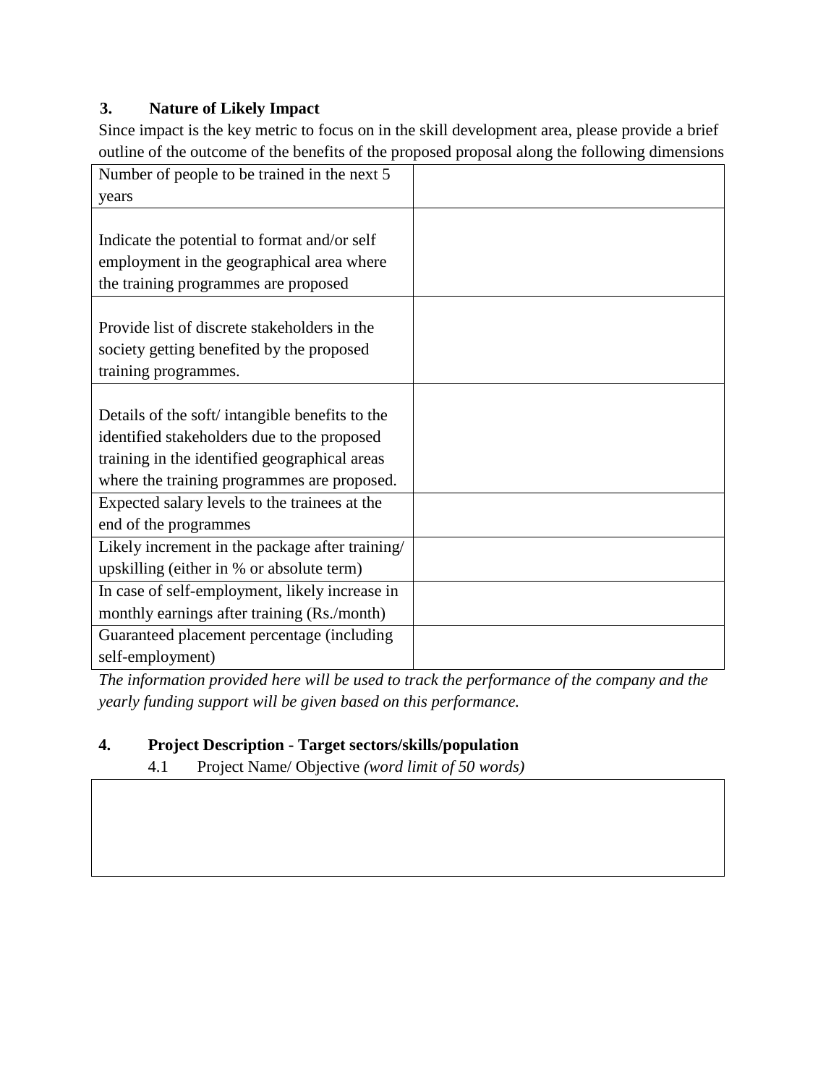# **3. Nature of Likely Impact**

Since impact is the key metric to focus on in the skill development area, please provide a brief outline of the outcome of the benefits of the proposed proposal along the following dimensions

| Number of people to be trained in the next 5    |  |
|-------------------------------------------------|--|
| years                                           |  |
|                                                 |  |
| Indicate the potential to format and/or self    |  |
| employment in the geographical area where       |  |
| the training programmes are proposed            |  |
|                                                 |  |
| Provide list of discrete stakeholders in the    |  |
| society getting benefited by the proposed       |  |
| training programmes.                            |  |
|                                                 |  |
| Details of the soft/ intangible benefits to the |  |
| identified stakeholders due to the proposed     |  |
| training in the identified geographical areas   |  |
| where the training programmes are proposed.     |  |
| Expected salary levels to the trainees at the   |  |
| end of the programmes                           |  |
| Likely increment in the package after training/ |  |
| upskilling (either in % or absolute term)       |  |
| In case of self-employment, likely increase in  |  |
| monthly earnings after training (Rs./month)     |  |
| Guaranteed placement percentage (including      |  |
| self-employment)                                |  |

*The information provided here will be used to track the performance of the company and the yearly funding support will be given based on this performance.* 

# **4. Project Description - Target sectors/skills/population**

4.1 Project Name/ Objective *(word limit of 50 words)*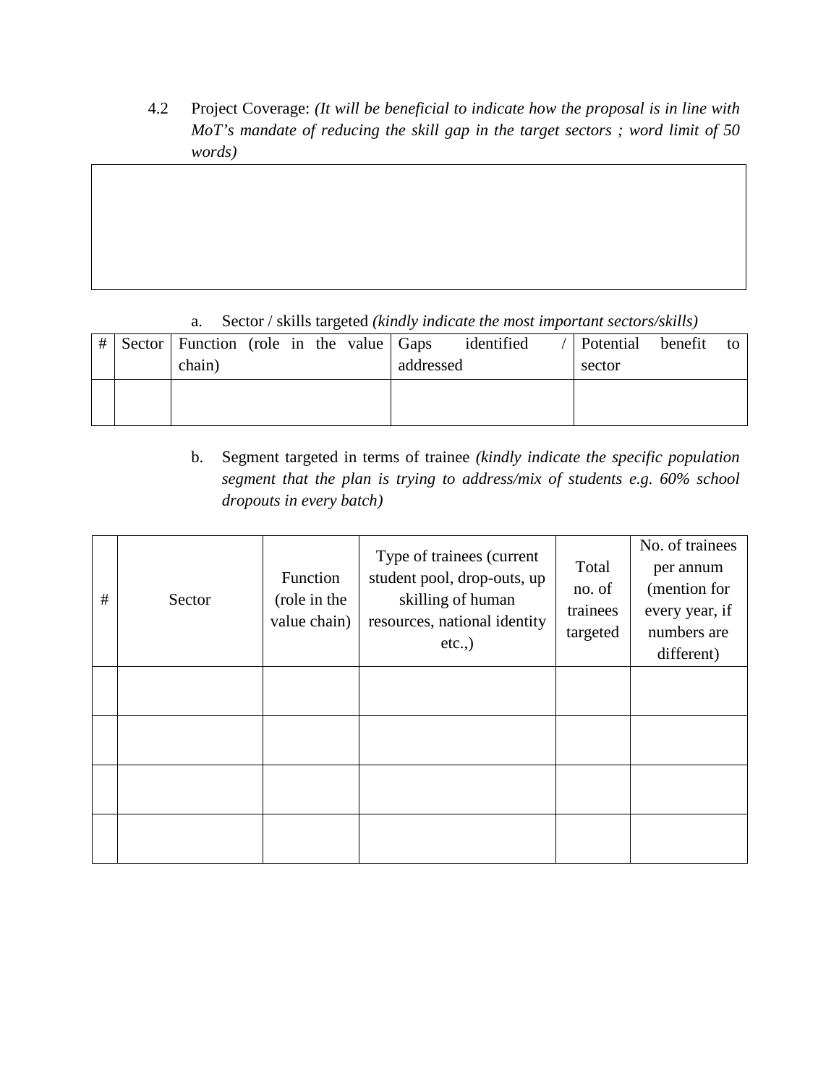4.2 Project Coverage: *(It will be beneficial to indicate how the proposal is in line with MoT's mandate of reducing the skill gap in the target sectors ; word limit of 50 words)* 

## a. Sector / skills targeted *(kindly indicate the most important sectors/skills)*

| # | Sector   Function (role in the value   Gaps<br>chain) |  |  | addressed | identified | Potential<br>sector | benefit | to |
|---|-------------------------------------------------------|--|--|-----------|------------|---------------------|---------|----|
|   |                                                       |  |  |           |            |                     |         |    |

b. Segment targeted in terms of trainee *(kindly indicate the specific population segment that the plan is trying to address/mix of students e.g. 60% school dropouts in every batch)* 

| # | Sector | Function<br>(role in the<br>value chain) | Type of trainees (current<br>student pool, drop-outs, up<br>skilling of human<br>resources, national identity<br>etc., | Total<br>no. of<br>trainees<br>targeted | No. of trainees<br>per annum<br>(mention for<br>every year, if<br>numbers are<br>different) |
|---|--------|------------------------------------------|------------------------------------------------------------------------------------------------------------------------|-----------------------------------------|---------------------------------------------------------------------------------------------|
|   |        |                                          |                                                                                                                        |                                         |                                                                                             |
|   |        |                                          |                                                                                                                        |                                         |                                                                                             |
|   |        |                                          |                                                                                                                        |                                         |                                                                                             |
|   |        |                                          |                                                                                                                        |                                         |                                                                                             |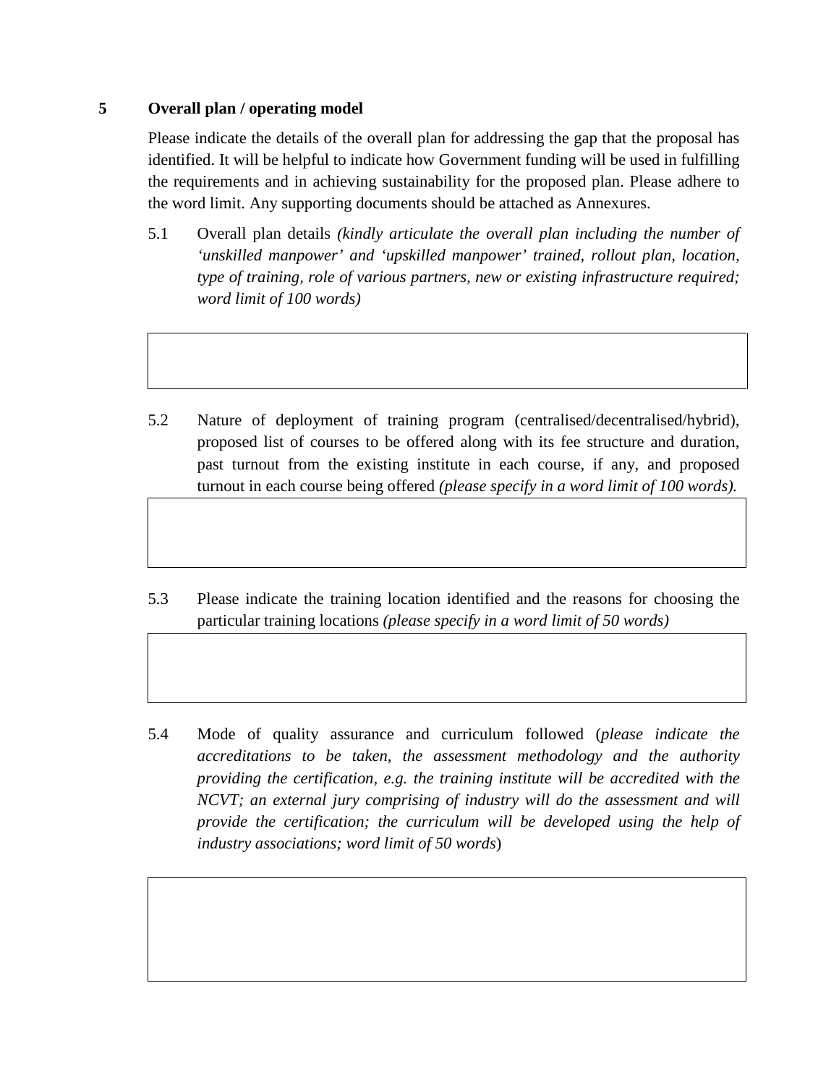## **5 Overall plan / operating model**

Please indicate the details of the overall plan for addressing the gap that the proposal has identified. It will be helpful to indicate how Government funding will be used in fulfilling the requirements and in achieving sustainability for the proposed plan. Please adhere to the word limit. Any supporting documents should be attached as Annexures*.* 

- 5.1 Overall plan details *(kindly articulate the overall plan including the number of 'unskilled manpower' and 'upskilled manpower' trained, rollout plan, location, type of training, role of various partners, new or existing infrastructure required; word limit of 100 words)*
- 5.2 Nature of deployment of training program (centralised/decentralised/hybrid), proposed list of courses to be offered along with its fee structure and duration, past turnout from the existing institute in each course, if any, and proposed turnout in each course being offered *(please specify in a word limit of 100 words).*
- 5.3 Please indicate the training location identified and the reasons for choosing the particular training locations *(please specify in a word limit of 50 words)*
- 5.4 Mode of quality assurance and curriculum followed (*please indicate the accreditations to be taken, the assessment methodology and the authority providing the certification, e.g. the training institute will be accredited with the NCVT; an external jury comprising of industry will do the assessment and will provide the certification; the curriculum will be developed using the help of industry associations; word limit of 50 words*)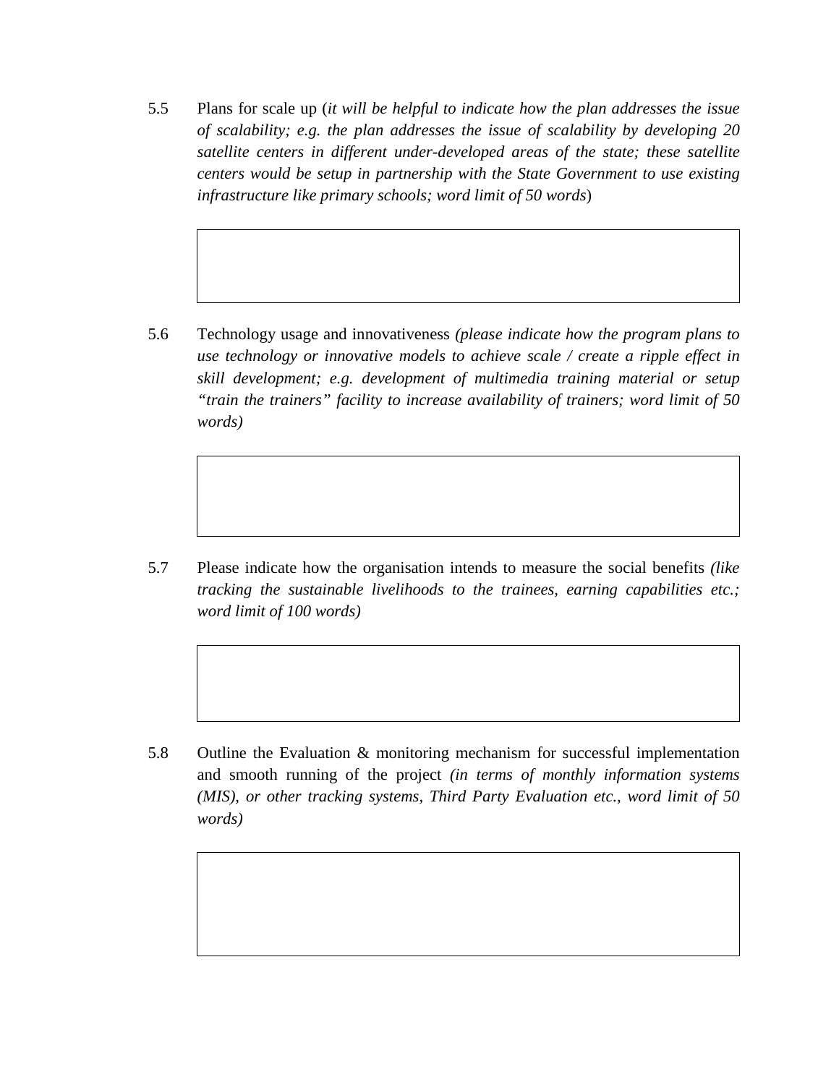5.5 Plans for scale up (*it will be helpful to indicate how the plan addresses the issue of scalability; e.g. the plan addresses the issue of scalability by developing 20 satellite centers in different under-developed areas of the state; these satellite centers would be setup in partnership with the State Government to use existing infrastructure like primary schools; word limit of 50 words*)

5.6 Technology usage and innovativeness *(please indicate how the program plans to use technology or innovative models to achieve scale / create a ripple effect in skill development; e.g. development of multimedia training material or setup "train the trainers" facility to increase availability of trainers; word limit of 50 words)* 

5.7 Please indicate how the organisation intends to measure the social benefits *(like tracking the sustainable livelihoods to the trainees, earning capabilities etc.; word limit of 100 words)* 

5.8 Outline the Evaluation & monitoring mechanism for successful implementation and smooth running of the project *(in terms of monthly information systems (MIS), or other tracking systems, Third Party Evaluation etc., word limit of 50 words)*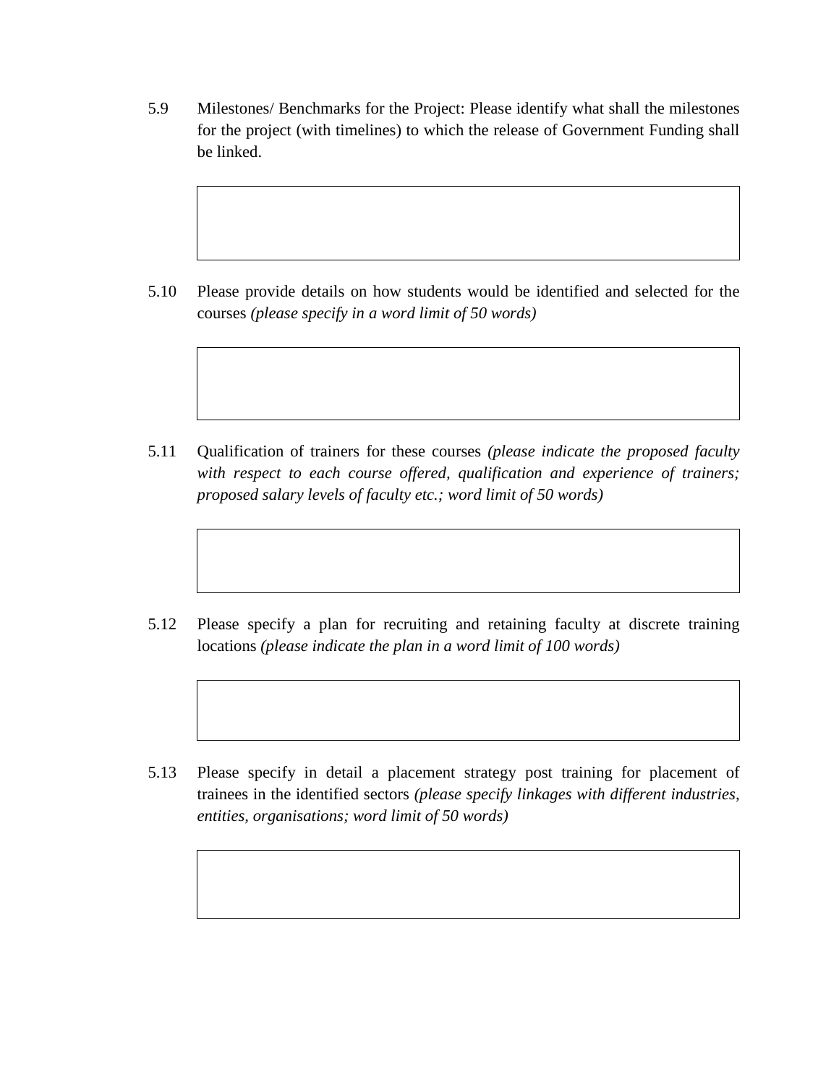5.9 Milestones/ Benchmarks for the Project: Please identify what shall the milestones for the project (with timelines) to which the release of Government Funding shall be linked.

5.10 Please provide details on how students would be identified and selected for the courses *(please specify in a word limit of 50 words)* 

5.11 Qualification of trainers for these courses *(please indicate the proposed faculty with respect to each course offered, qualification and experience of trainers; proposed salary levels of faculty etc.; word limit of 50 words)* 

5.12 Please specify a plan for recruiting and retaining faculty at discrete training locations *(please indicate the plan in a word limit of 100 words)* 

5.13 Please specify in detail a placement strategy post training for placement of trainees in the identified sectors *(please specify linkages with different industries, entities, organisations; word limit of 50 words)*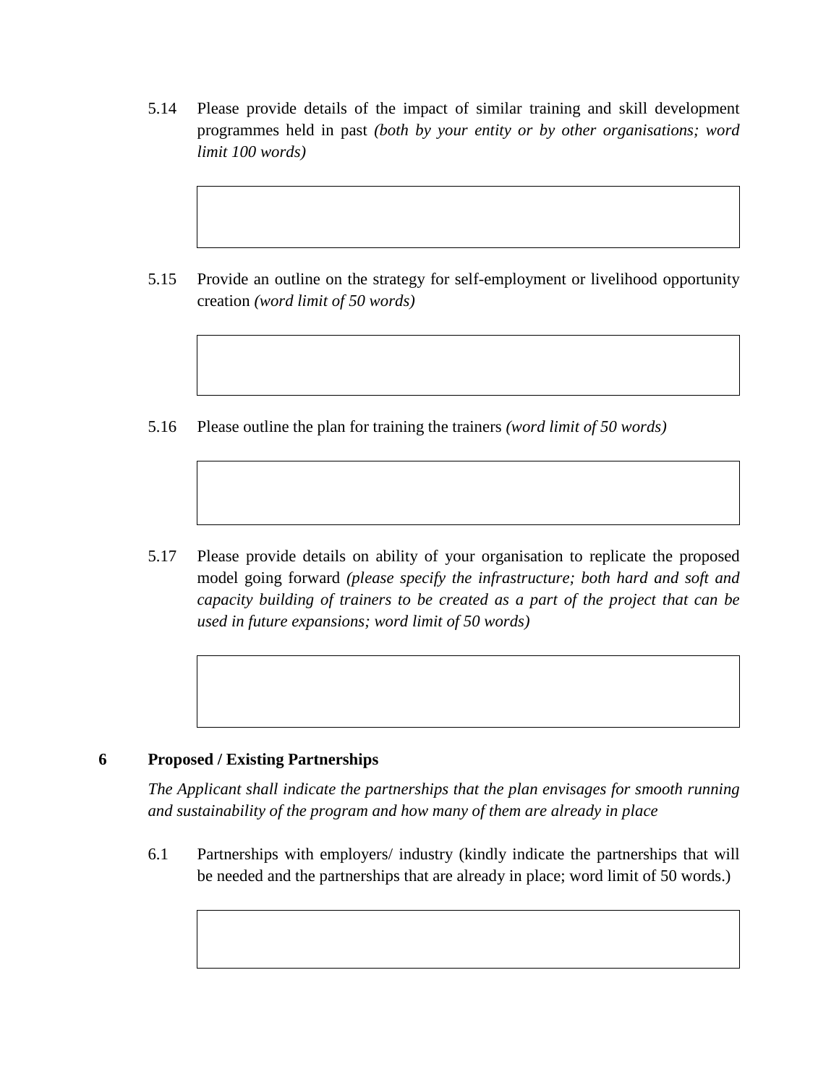5.14 Please provide details of the impact of similar training and skill development programmes held in past *(both by your entity or by other organisations; word limit 100 words)* 

- 5.15 Provide an outline on the strategy for self-employment or livelihood opportunity creation *(word limit of 50 words)*
- 5.16 Please outline the plan for training the trainers *(word limit of 50 words)*

5.17 Please provide details on ability of your organisation to replicate the proposed model going forward *(please specify the infrastructure; both hard and soft and capacity building of trainers to be created as a part of the project that can be used in future expansions; word limit of 50 words)* 

### **6 Proposed / Existing Partnerships**

*The Applicant shall indicate the partnerships that the plan envisages for smooth running and sustainability of the program and how many of them are already in place* 

6.1 Partnerships with employers/ industry (kindly indicate the partnerships that will be needed and the partnerships that are already in place; word limit of 50 words.)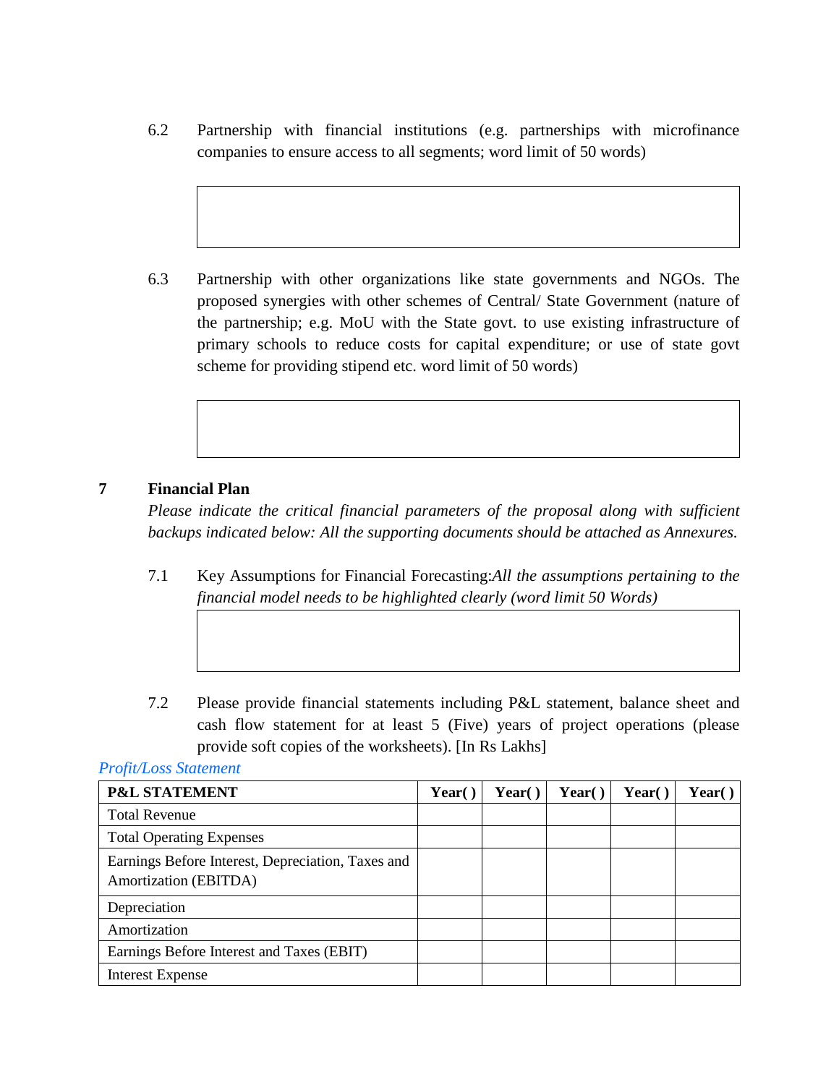6.2 Partnership with financial institutions (e.g. partnerships with microfinance companies to ensure access to all segments; word limit of 50 words)

6.3 Partnership with other organizations like state governments and NGOs. The proposed synergies with other schemes of Central/ State Government (nature of the partnership; e.g. MoU with the State govt. to use existing infrastructure of primary schools to reduce costs for capital expenditure; or use of state govt scheme for providing stipend etc. word limit of 50 words)

## **7 Financial Plan**

*Please indicate the critical financial parameters of the proposal along with sufficient backups indicated below: All the supporting documents should be attached as Annexures.* 

- 7.1 Key Assumptions for Financial Forecasting:*All the assumptions pertaining to the financial model needs to be highlighted clearly (word limit 50 Words)*
- 7.2 Please provide financial statements including P&L statement, balance sheet and cash flow statement for at least 5 (Five) years of project operations (please provide soft copies of the worksheets). [In Rs Lakhs]

#### *Profit/Loss Statement*

| <b>P&amp;L STATEMENT</b>                                                   | Year $()$ | Year $()$ | Year( | Year() | Year( |
|----------------------------------------------------------------------------|-----------|-----------|-------|--------|-------|
| <b>Total Revenue</b>                                                       |           |           |       |        |       |
| <b>Total Operating Expenses</b>                                            |           |           |       |        |       |
| Earnings Before Interest, Depreciation, Taxes and<br>Amortization (EBITDA) |           |           |       |        |       |
| Depreciation                                                               |           |           |       |        |       |
| Amortization                                                               |           |           |       |        |       |
| Earnings Before Interest and Taxes (EBIT)                                  |           |           |       |        |       |
| <b>Interest Expense</b>                                                    |           |           |       |        |       |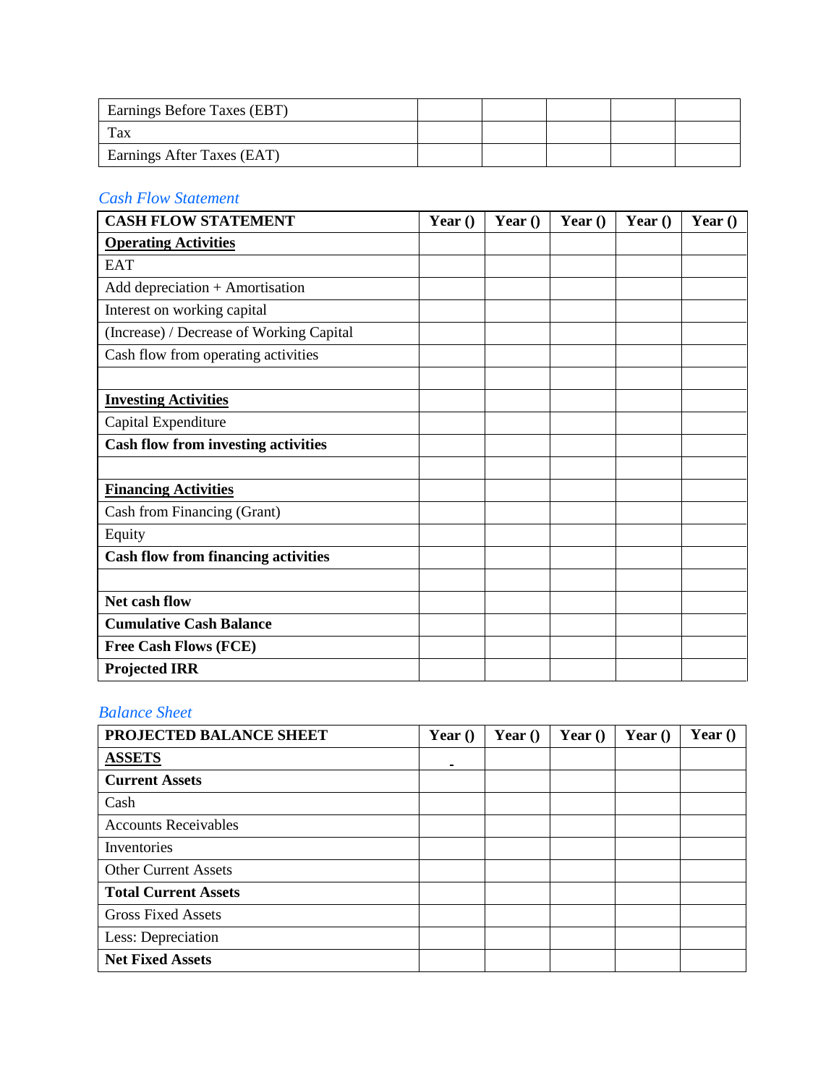| Earnings Before Taxes (EBT) |  |  |  |
|-----------------------------|--|--|--|
| Tax                         |  |  |  |
| Earnings After Taxes (EAT)  |  |  |  |

## *Cash Flow Statement*

| <b>CASH FLOW STATEMENT</b>                 | Year $()$ | Year $()$ | Year $()$ | Year $()$ | Year $()$ |
|--------------------------------------------|-----------|-----------|-----------|-----------|-----------|
| <b>Operating Activities</b>                |           |           |           |           |           |
| <b>EAT</b>                                 |           |           |           |           |           |
| Add depreciation + Amortisation            |           |           |           |           |           |
| Interest on working capital                |           |           |           |           |           |
| (Increase) / Decrease of Working Capital   |           |           |           |           |           |
| Cash flow from operating activities        |           |           |           |           |           |
|                                            |           |           |           |           |           |
| <b>Investing Activities</b>                |           |           |           |           |           |
| Capital Expenditure                        |           |           |           |           |           |
| <b>Cash flow from investing activities</b> |           |           |           |           |           |
|                                            |           |           |           |           |           |
| <b>Financing Activities</b>                |           |           |           |           |           |
| Cash from Financing (Grant)                |           |           |           |           |           |
| Equity                                     |           |           |           |           |           |
| <b>Cash flow from financing activities</b> |           |           |           |           |           |
|                                            |           |           |           |           |           |
| Net cash flow                              |           |           |           |           |           |
| <b>Cumulative Cash Balance</b>             |           |           |           |           |           |
| <b>Free Cash Flows (FCE)</b>               |           |           |           |           |           |
| <b>Projected IRR</b>                       |           |           |           |           |           |

# *Balance Sheet*

| PROJECTED BALANCE SHEET     | Year $()$      | Year $()$ | Year $()$ | Year $()$ | Year $()$ |
|-----------------------------|----------------|-----------|-----------|-----------|-----------|
| <b>ASSETS</b>               | $\blacksquare$ |           |           |           |           |
| <b>Current Assets</b>       |                |           |           |           |           |
| Cash                        |                |           |           |           |           |
| <b>Accounts Receivables</b> |                |           |           |           |           |
| Inventories                 |                |           |           |           |           |
| <b>Other Current Assets</b> |                |           |           |           |           |
| <b>Total Current Assets</b> |                |           |           |           |           |
| <b>Gross Fixed Assets</b>   |                |           |           |           |           |
| Less: Depreciation          |                |           |           |           |           |
| <b>Net Fixed Assets</b>     |                |           |           |           |           |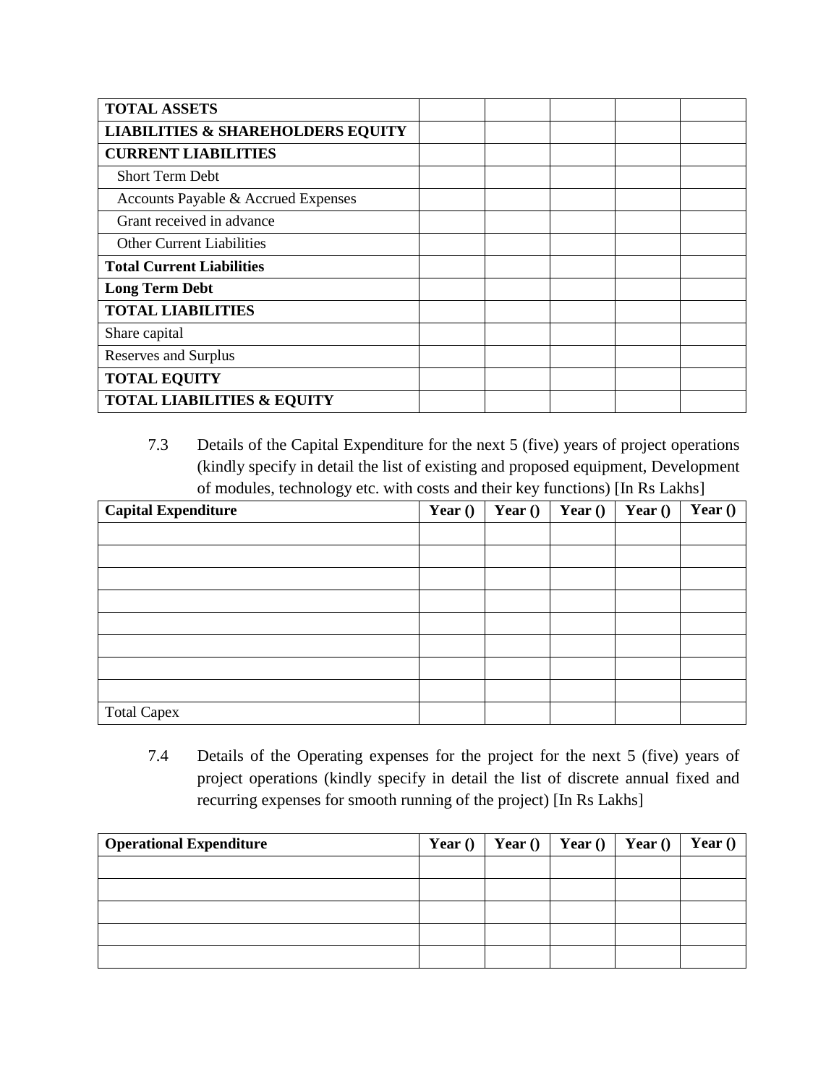| <b>TOTAL ASSETS</b>                          |  |  |  |
|----------------------------------------------|--|--|--|
| <b>LIABILITIES &amp; SHAREHOLDERS EQUITY</b> |  |  |  |
| <b>CURRENT LIABILITIES</b>                   |  |  |  |
| <b>Short Term Debt</b>                       |  |  |  |
| Accounts Payable & Accrued Expenses          |  |  |  |
| Grant received in advance                    |  |  |  |
| <b>Other Current Liabilities</b>             |  |  |  |
| <b>Total Current Liabilities</b>             |  |  |  |
| <b>Long Term Debt</b>                        |  |  |  |
| <b>TOTAL LIABILITIES</b>                     |  |  |  |
| Share capital                                |  |  |  |
| Reserves and Surplus                         |  |  |  |
| <b>TOTAL EQUITY</b>                          |  |  |  |
| <b>TOTAL LIABILITIES &amp; EQUITY</b>        |  |  |  |

7.3 Details of the Capital Expenditure for the next 5 (five) years of project operations (kindly specify in detail the list of existing and proposed equipment, Development of modules, technology etc. with costs and their key functions) [In Rs Lakhs]

| <b>Capital Expenditure</b> | Year $()$ | Year $()$ | Year $()$ | Year $()$ | Year $()$ |
|----------------------------|-----------|-----------|-----------|-----------|-----------|
|                            |           |           |           |           |           |
|                            |           |           |           |           |           |
|                            |           |           |           |           |           |
|                            |           |           |           |           |           |
|                            |           |           |           |           |           |
|                            |           |           |           |           |           |
|                            |           |           |           |           |           |
|                            |           |           |           |           |           |
| <b>Total Capex</b>         |           |           |           |           |           |

7.4 Details of the Operating expenses for the project for the next 5 (five) years of project operations (kindly specify in detail the list of discrete annual fixed and recurring expenses for smooth running of the project) [In Rs Lakhs]

| <b>Operational Expenditure</b> | Year ()   Year ()   Year ()   Year () |  | Year $()$ |
|--------------------------------|---------------------------------------|--|-----------|
|                                |                                       |  |           |
|                                |                                       |  |           |
|                                |                                       |  |           |
|                                |                                       |  |           |
|                                |                                       |  |           |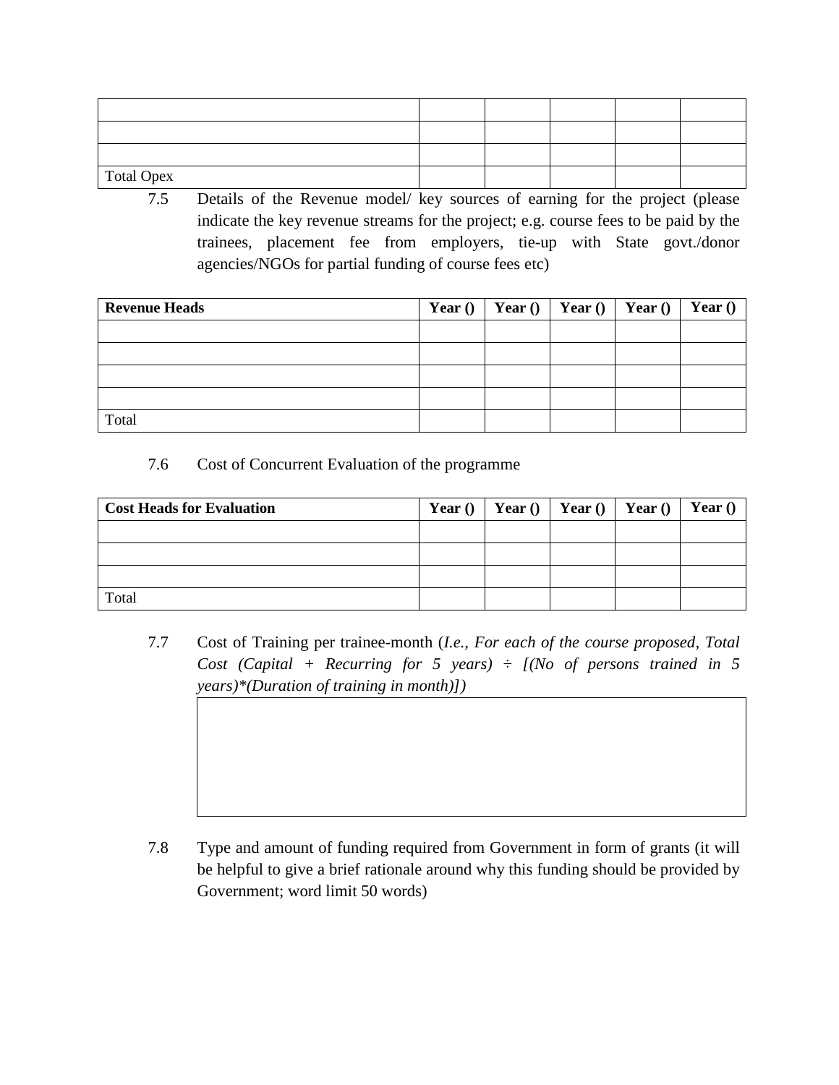| Total Opex |  |  |  |
|------------|--|--|--|

7.5 Details of the Revenue model/ key sources of earning for the project (please indicate the key revenue streams for the project; e.g. course fees to be paid by the trainees, placement fee from employers, tie-up with State govt./donor agencies/NGOs for partial funding of course fees etc)

| <b>Revenue Heads</b> | Year ()   Year ()   Year ()   Year () |  | <b>Year</b> $()$ |
|----------------------|---------------------------------------|--|------------------|
|                      |                                       |  |                  |
|                      |                                       |  |                  |
|                      |                                       |  |                  |
|                      |                                       |  |                  |
| Total                |                                       |  |                  |

## 7.6 Cost of Concurrent Evaluation of the programme

| <b>Cost Heads for Evaluation</b> | Year ()   Year ()   Year ()   Year ()   Year () |  |  |
|----------------------------------|-------------------------------------------------|--|--|
|                                  |                                                 |  |  |
|                                  |                                                 |  |  |
|                                  |                                                 |  |  |
| Total                            |                                                 |  |  |

7.7 Cost of Training per trainee-month (*I.e., For each of the course proposed, Total Cost (Capital + Recurring for 5 years) ÷ [(No of persons trained in 5 years)\*(Duration of training in month)])*

7.8 Type and amount of funding required from Government in form of grants (it will be helpful to give a brief rationale around why this funding should be provided by Government; word limit 50 words)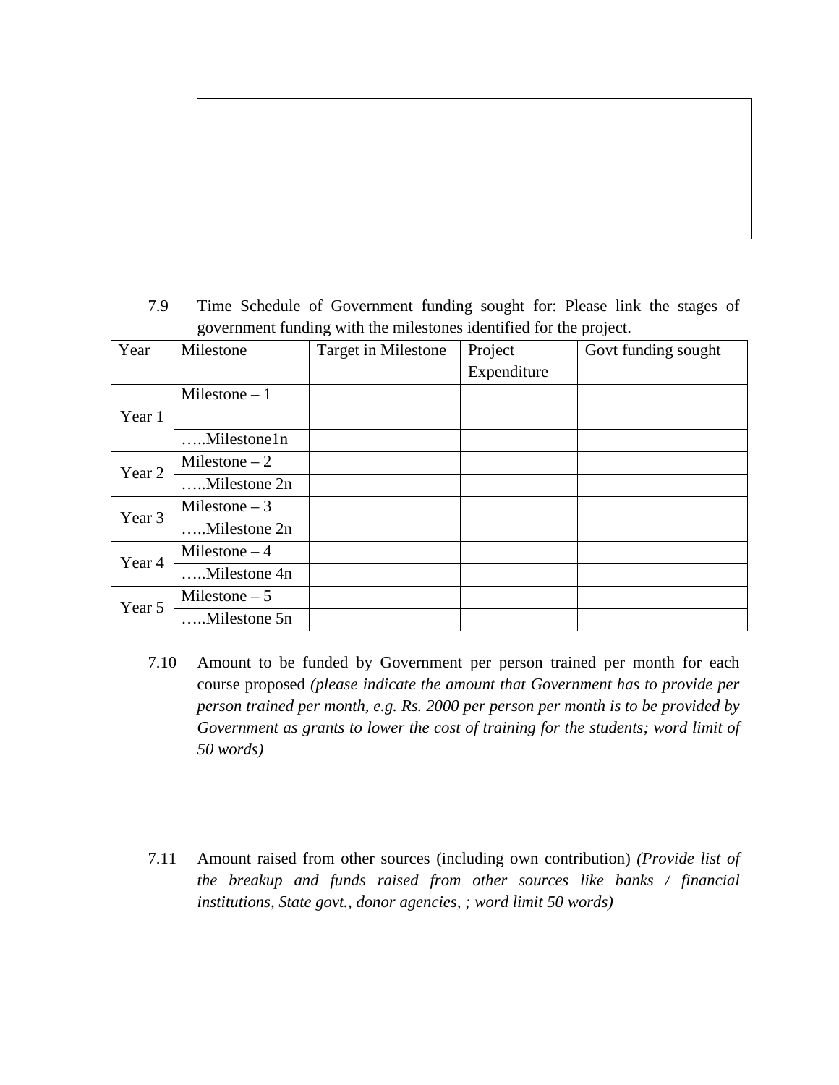7.9 Time Schedule of Government funding sought for: Please link the stages of government funding with the milestones identified for the project.

| Year   | Milestone      | <b>Target in Milestone</b> | Project     | Govt funding sought |
|--------|----------------|----------------------------|-------------|---------------------|
|        |                |                            | Expenditure |                     |
|        | Milestone $-1$ |                            |             |                     |
| Year 1 |                |                            |             |                     |
|        | .Milestone1n   |                            |             |                     |
| Year 2 | Milestone $-2$ |                            |             |                     |
|        | Milestone 2n   |                            |             |                     |
| Year 3 | Milestone $-3$ |                            |             |                     |
|        | Milestone 2n   |                            |             |                     |
| Year 4 | Milestone $-4$ |                            |             |                     |
|        | Milestone 4n   |                            |             |                     |
| Year 5 | Milestone $-5$ |                            |             |                     |
|        | Milestone 5n   |                            |             |                     |

- 7.10 Amount to be funded by Government per person trained per month for each course proposed *(please indicate the amount that Government has to provide per person trained per month, e.g. Rs. 2000 per person per month is to be provided by Government as grants to lower the cost of training for the students; word limit of 50 words)*
- 7.11 Amount raised from other sources (including own contribution) *(Provide list of the breakup and funds raised from other sources like banks / financial institutions, State govt., donor agencies, ; word limit 50 words)*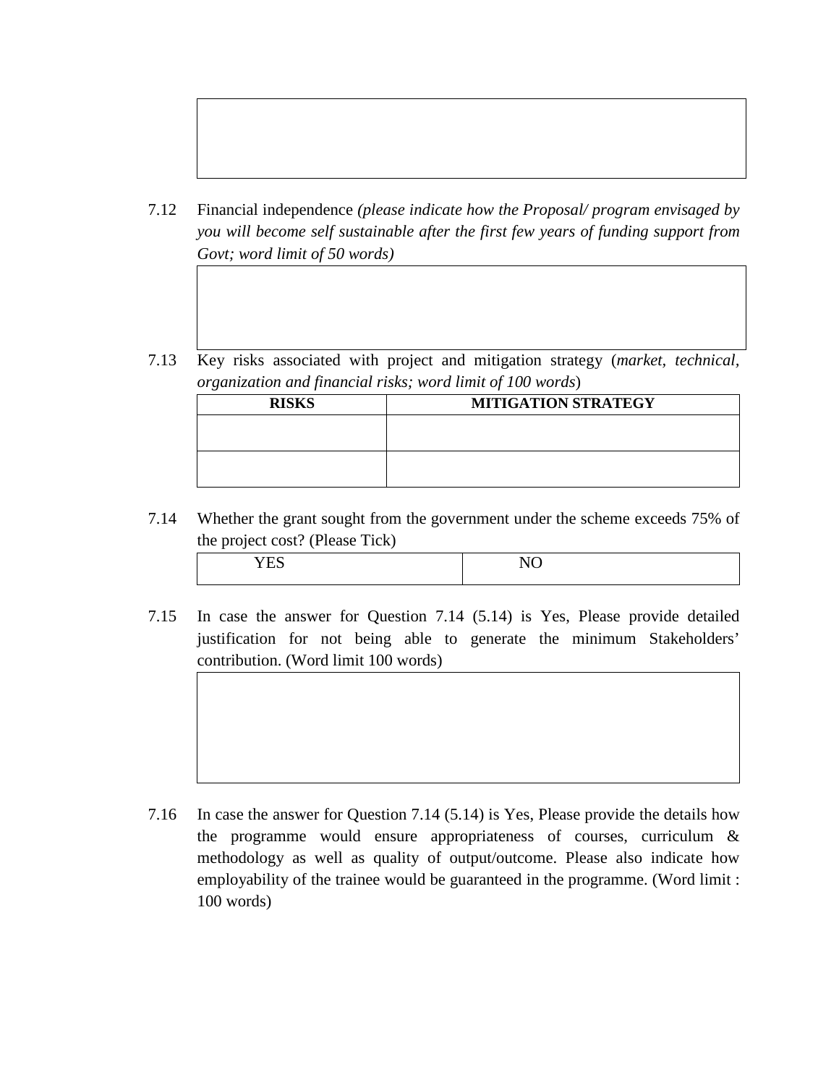- 7.12 Financial independence *(please indicate how the Proposal/ program envisaged by you will become self sustainable after the first few years of funding support from Govt; word limit of 50 words)*
- 7.13 Key risks associated with project and mitigation strategy (*market, technical, organization and financial risks; word limit of 100 words*)

| <b>RISKS</b> | <b>MITIGATION STRATEGY</b> |
|--------------|----------------------------|
|              |                            |
|              |                            |
|              |                            |

7.14 Whether the grant sought from the government under the scheme exceeds 75% of the project cost? (Please Tick)

| ____ | -- |  |
|------|----|--|
|      |    |  |

7.15 In case the answer for Question 7.14 (5.14) is Yes, Please provide detailed justification for not being able to generate the minimum Stakeholders' contribution. (Word limit 100 words)

7.16 In case the answer for Question 7.14 (5.14) is Yes, Please provide the details how the programme would ensure appropriateness of courses, curriculum & methodology as well as quality of output/outcome. Please also indicate how employability of the trainee would be guaranteed in the programme. (Word limit : 100 words)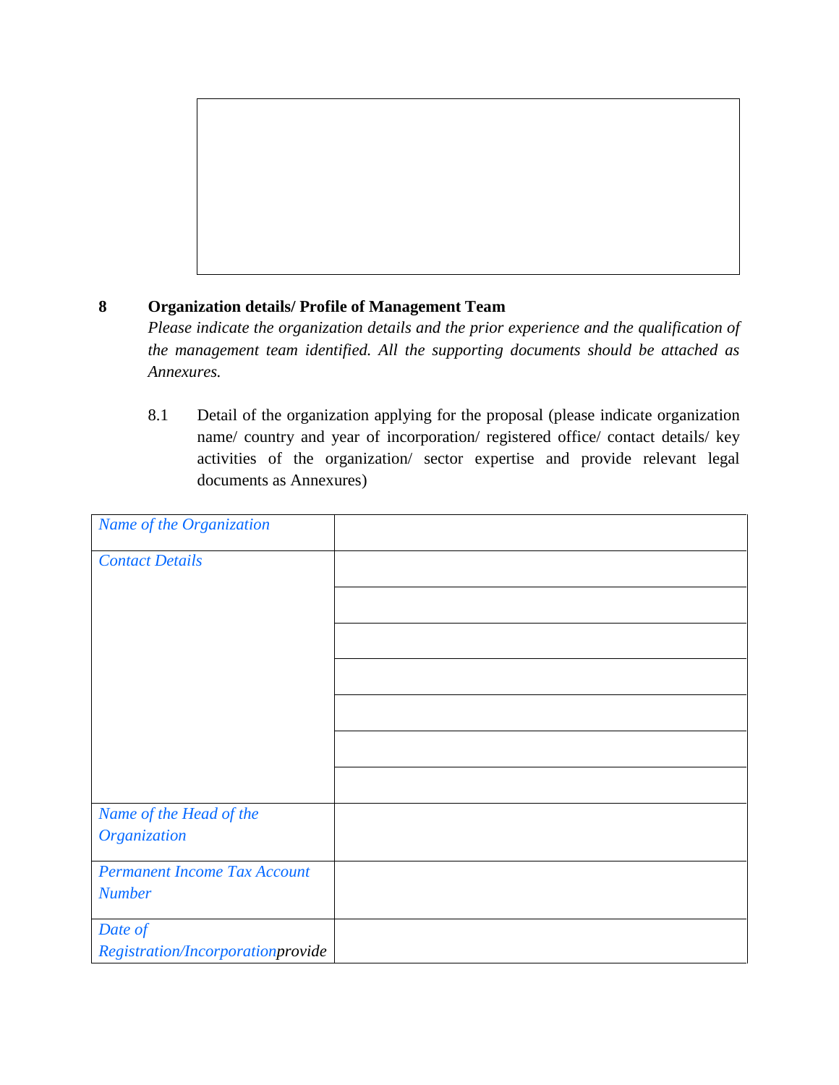# **8 Organization details/ Profile of Management Team**

*Please indicate the organization details and the prior experience and the qualification of the management team identified. All the supporting documents should be attached as Annexures.* 

8.1 Detail of the organization applying for the proposal (please indicate organization name/ country and year of incorporation/ registered office/ contact details/ key activities of the organization/ sector expertise and provide relevant legal documents as Annexures)

| Name of the Organization            |  |
|-------------------------------------|--|
| <b>Contact Details</b>              |  |
|                                     |  |
|                                     |  |
|                                     |  |
|                                     |  |
|                                     |  |
|                                     |  |
| Name of the Head of the             |  |
| Organization                        |  |
| <b>Permanent Income Tax Account</b> |  |
| <b>Number</b>                       |  |
| Date of                             |  |
| Registration/Incorporationprovide   |  |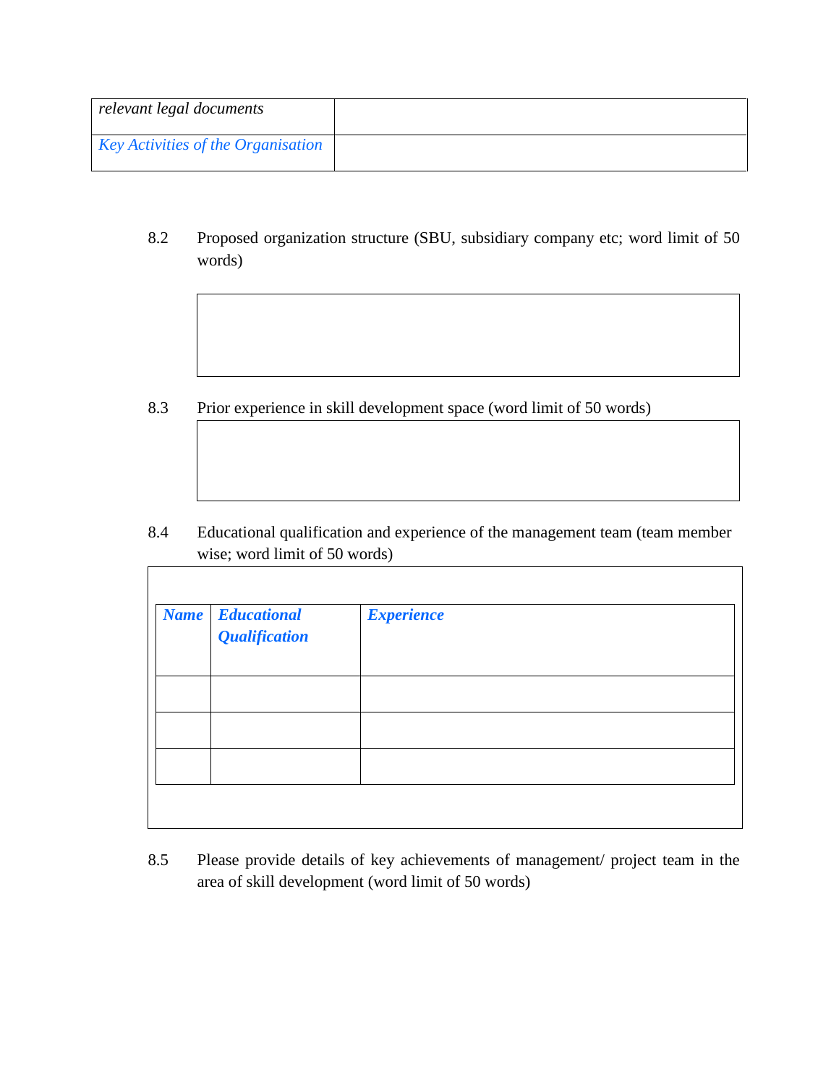| relevant legal documents           |  |
|------------------------------------|--|
| Key Activities of the Organisation |  |

8.2 Proposed organization structure (SBU, subsidiary company etc; word limit of 50 words)

8.3 Prior experience in skill development space (word limit of 50 words)

Г

8.4 Educational qualification and experience of the management team (team member wise; word limit of 50 words)

| <b>Name</b> Educational<br><i><b>Qualification</b></i> | <b>Experience</b> |  |
|--------------------------------------------------------|-------------------|--|
|                                                        |                   |  |
|                                                        |                   |  |
|                                                        |                   |  |

8.5 Please provide details of key achievements of management/ project team in the area of skill development (word limit of 50 words)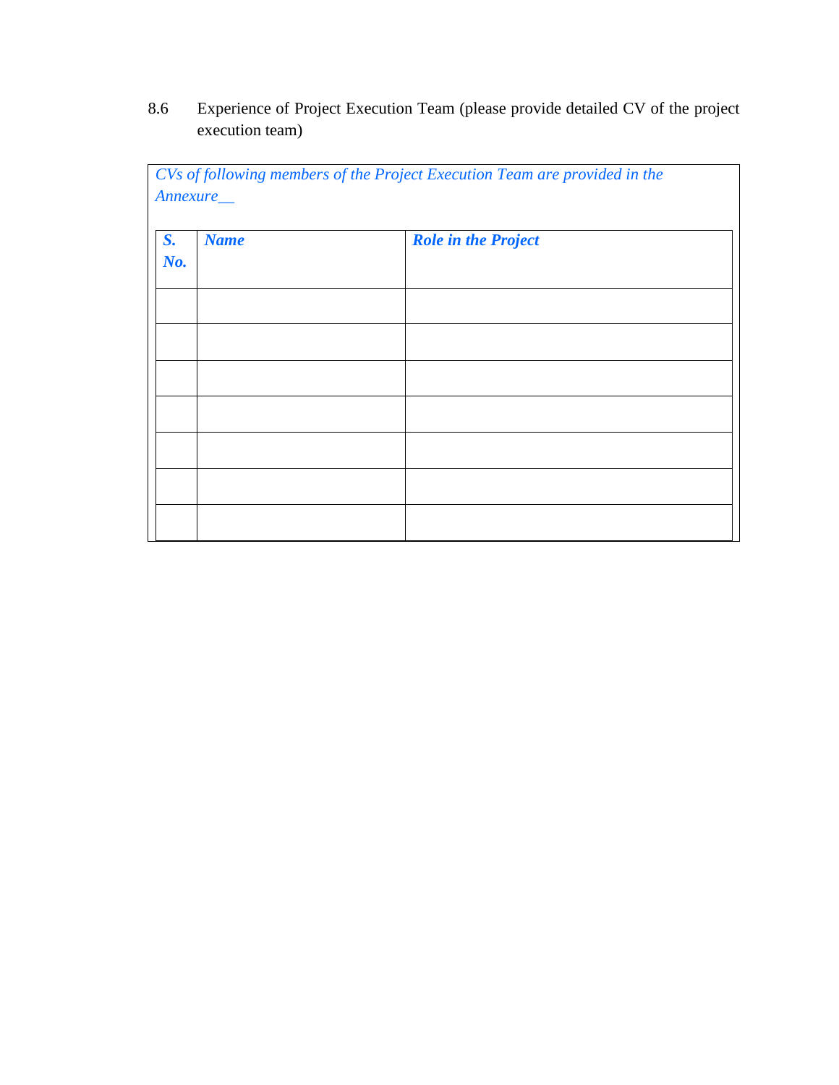8.6 Experience of Project Execution Team (please provide detailed CV of the project execution team)

| CVs of following members of the Project Execution Team are provided in the<br>Annexure__ |             |                            |  |  |
|------------------------------------------------------------------------------------------|-------------|----------------------------|--|--|
|                                                                                          |             |                            |  |  |
| $S_{\cdot}$                                                                              | <b>Name</b> | <b>Role in the Project</b> |  |  |
| No.                                                                                      |             |                            |  |  |
|                                                                                          |             |                            |  |  |
|                                                                                          |             |                            |  |  |
|                                                                                          |             |                            |  |  |
|                                                                                          |             |                            |  |  |
|                                                                                          |             |                            |  |  |
|                                                                                          |             |                            |  |  |
|                                                                                          |             |                            |  |  |
|                                                                                          |             |                            |  |  |
|                                                                                          |             |                            |  |  |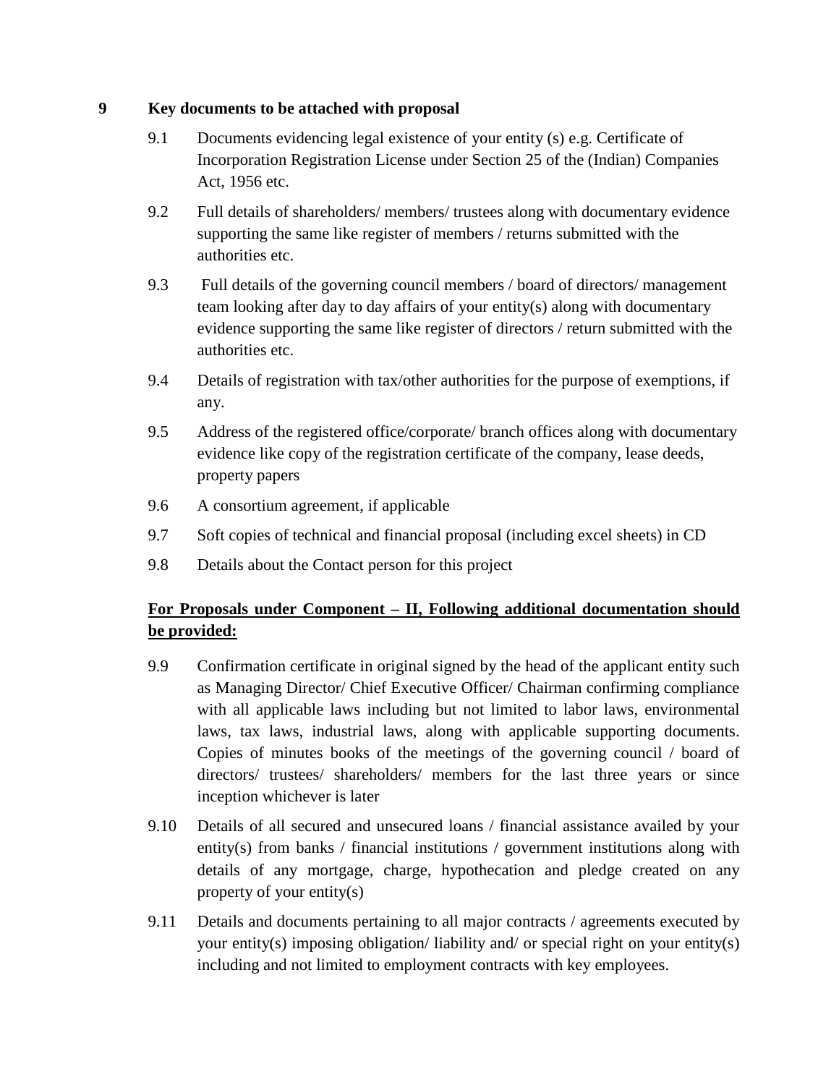### **9 Key documents to be attached with proposal**

- 9.1 Documents evidencing legal existence of your entity (s) e.g. Certificate of Incorporation Registration License under Section 25 of the (Indian) Companies Act, 1956 etc.
- 9.2 Full details of shareholders/ members/ trustees along with documentary evidence supporting the same like register of members / returns submitted with the authorities etc.
- 9.3 Full details of the governing council members / board of directors/ management team looking after day to day affairs of your entity(s) along with documentary evidence supporting the same like register of directors / return submitted with the authorities etc.
- 9.4 Details of registration with tax/other authorities for the purpose of exemptions, if any.
- 9.5 Address of the registered office/corporate/ branch offices along with documentary evidence like copy of the registration certificate of the company, lease deeds, property papers
- 9.6 A consortium agreement, if applicable
- 9.7 Soft copies of technical and financial proposal (including excel sheets) in CD
- 9.8 Details about the Contact person for this project

# **For Proposals under Component – II, Following additional documentation should be provided:**

- 9.9 Confirmation certificate in original signed by the head of the applicant entity such as Managing Director/ Chief Executive Officer/ Chairman confirming compliance with all applicable laws including but not limited to labor laws, environmental laws, tax laws, industrial laws, along with applicable supporting documents. Copies of minutes books of the meetings of the governing council / board of directors/ trustees/ shareholders/ members for the last three years or since inception whichever is later
- 9.10 Details of all secured and unsecured loans / financial assistance availed by your entity(s) from banks / financial institutions / government institutions along with details of any mortgage, charge, hypothecation and pledge created on any property of your entity(s)
- 9.11 Details and documents pertaining to all major contracts / agreements executed by your entity(s) imposing obligation/ liability and/ or special right on your entity(s) including and not limited to employment contracts with key employees.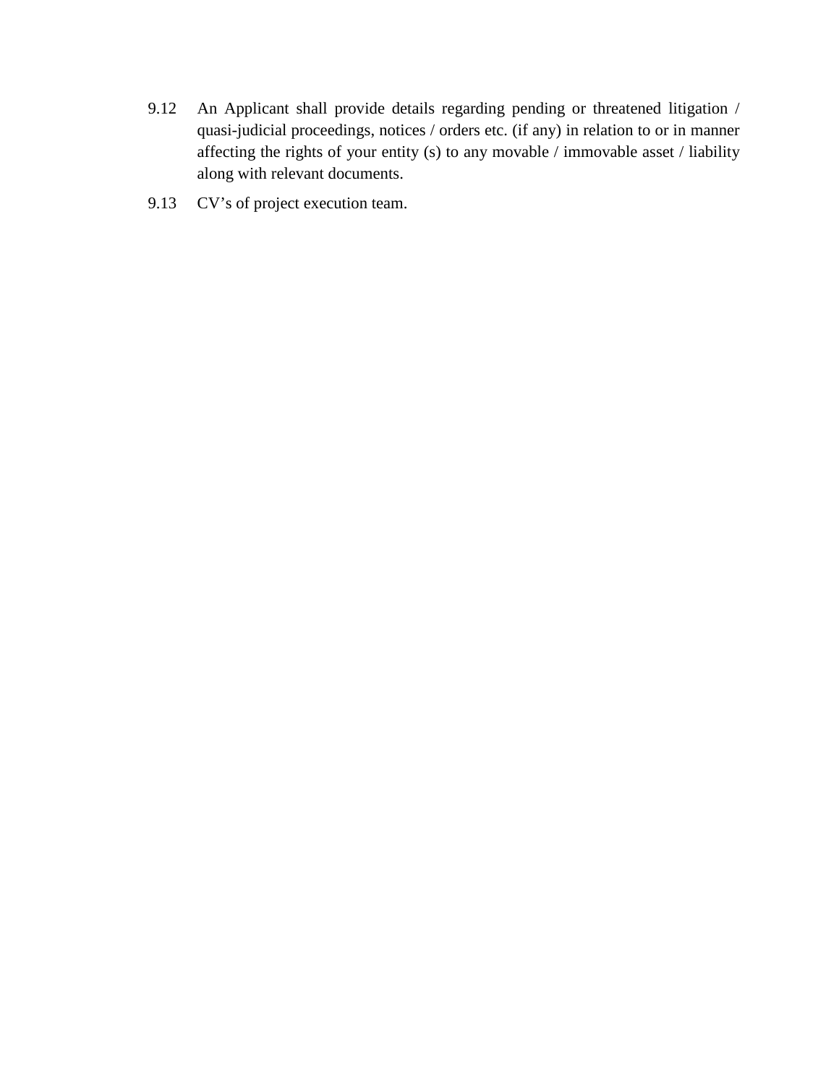- 9.12 An Applicant shall provide details regarding pending or threatened litigation / quasi-judicial proceedings, notices / orders etc. (if any) in relation to or in manner affecting the rights of your entity (s) to any movable / immovable asset / liability along with relevant documents.
- 9.13 CV's of project execution team.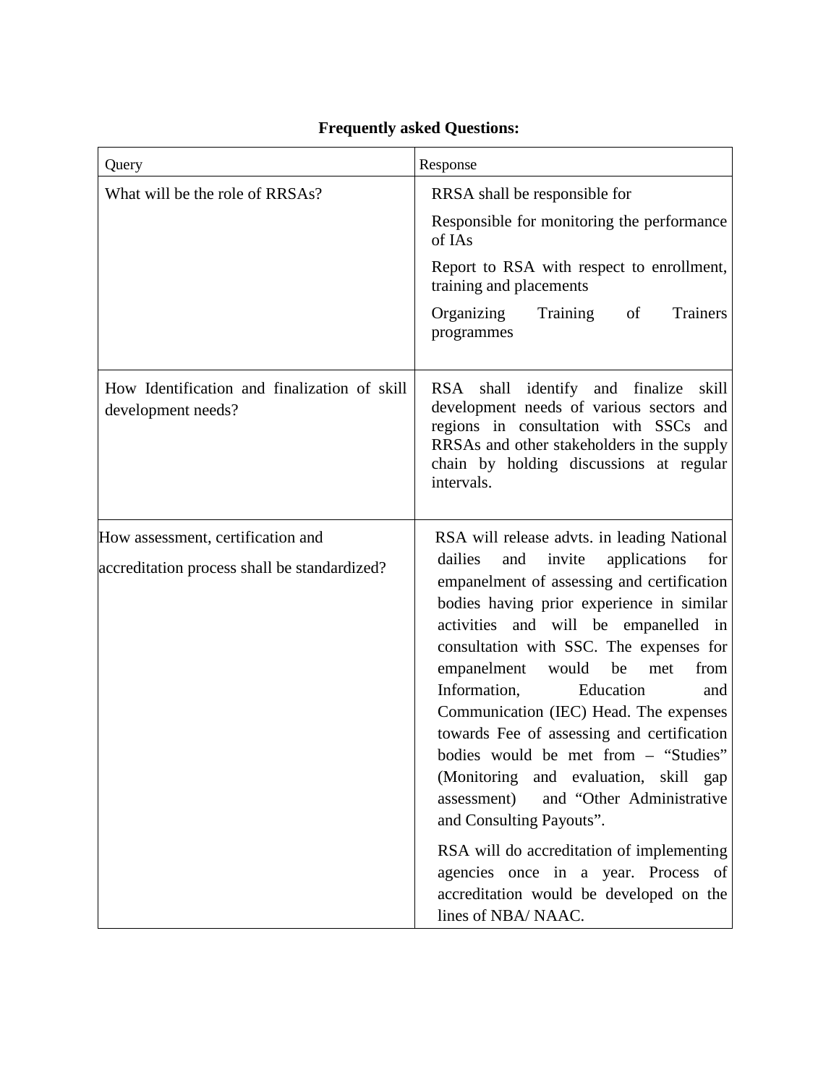| Query                                                                             | Response                                                                                                                                                                                                                                                                                                                                                                                                                                                                                                                                                                                                                                                                                                                                                            |
|-----------------------------------------------------------------------------------|---------------------------------------------------------------------------------------------------------------------------------------------------------------------------------------------------------------------------------------------------------------------------------------------------------------------------------------------------------------------------------------------------------------------------------------------------------------------------------------------------------------------------------------------------------------------------------------------------------------------------------------------------------------------------------------------------------------------------------------------------------------------|
| What will be the role of RRSAs?                                                   | RRSA shall be responsible for<br>Responsible for monitoring the performance<br>of IAs<br>Report to RSA with respect to enrollment,<br>training and placements<br>Organizing<br>Training<br>of<br>Trainers<br>programmes                                                                                                                                                                                                                                                                                                                                                                                                                                                                                                                                             |
| How Identification and finalization of skill<br>development needs?                | shall identify and finalize<br>RSA<br>skill<br>development needs of various sectors and<br>regions in consultation with SSCs and<br>RRSAs and other stakeholders in the supply<br>chain by holding discussions at regular<br>intervals.                                                                                                                                                                                                                                                                                                                                                                                                                                                                                                                             |
| How assessment, certification and<br>accreditation process shall be standardized? | RSA will release advts. in leading National<br>dailies<br>invite<br>applications<br>and<br>for<br>empanelment of assessing and certification<br>bodies having prior experience in similar<br>activities and will be empanelled in<br>consultation with SSC. The expenses for<br>empanelment<br>would<br>be<br>from<br>met<br>Information,<br>Education<br>and<br>Communication (IEC) Head. The expenses<br>towards Fee of assessing and certification<br>bodies would be met from - "Studies"<br>(Monitoring and evaluation, skill gap<br>and "Other Administrative<br>assessment)<br>and Consulting Payouts".<br>RSA will do accreditation of implementing<br>agencies once in a year. Process of<br>accreditation would be developed on the<br>lines of NBA/NAAC. |

# **Frequently asked Questions:**